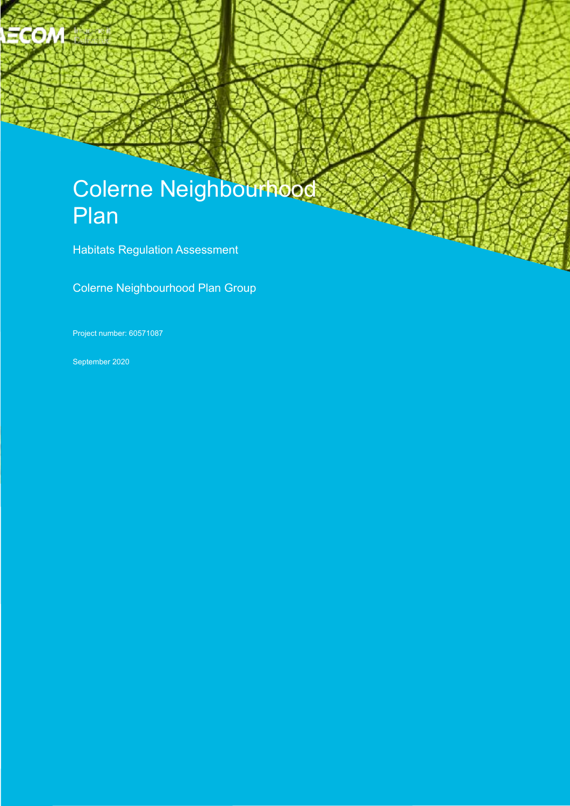# COM<sup>®</sup>

# Colerne Neighbourhood Plan

Habitats Regulation Assessment

Colerne Neighbourhood Plan Group

Project number: 60571087

September 2020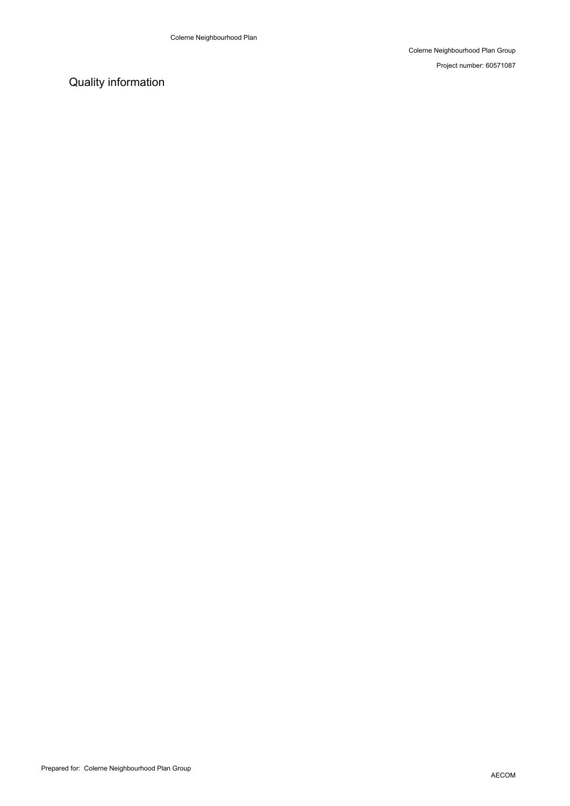<span id="page-1-0"></span>Quality information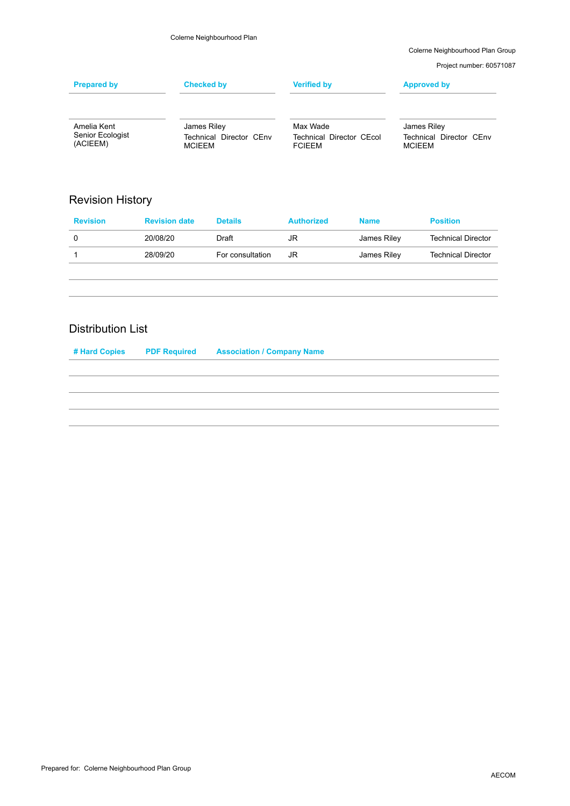Colerne Neighbourhood Plan Group

Project number: 60571087

| <b>Prepared by</b> | <b>Checked by</b>       | <b>Verified by</b>       | <b>Approved by</b>      |
|--------------------|-------------------------|--------------------------|-------------------------|
| Amelia Kent        | James Riley             | Max Wade                 | James Riley             |
| Senior Ecologist   | Technical Director CEnv | Technical Director CEcol | Technical Director CEnv |
| (ACIEEM)           | <b>MCIFFM</b>           | <b>FCIEEM</b>            | <b>MCIEEM</b>           |

### <span id="page-2-0"></span>Revision History

| <b>Revision</b> | <b>Revision date</b> | <b>Details</b>   | <b>Authorized</b> | <b>Name</b> | <b>Position</b>           |
|-----------------|----------------------|------------------|-------------------|-------------|---------------------------|
|                 | 20/08/20             | Draft            | JR                | James Riley | <b>Technical Director</b> |
|                 | 28/09/20             | For consultation | JR                | James Riley | <b>Technical Director</b> |
|                 |                      |                  |                   |             |                           |

#### <span id="page-2-1"></span>Distribution List

| # Hard Copies | <b>PDF Required</b> | <b>Association / Company Name</b> |  |
|---------------|---------------------|-----------------------------------|--|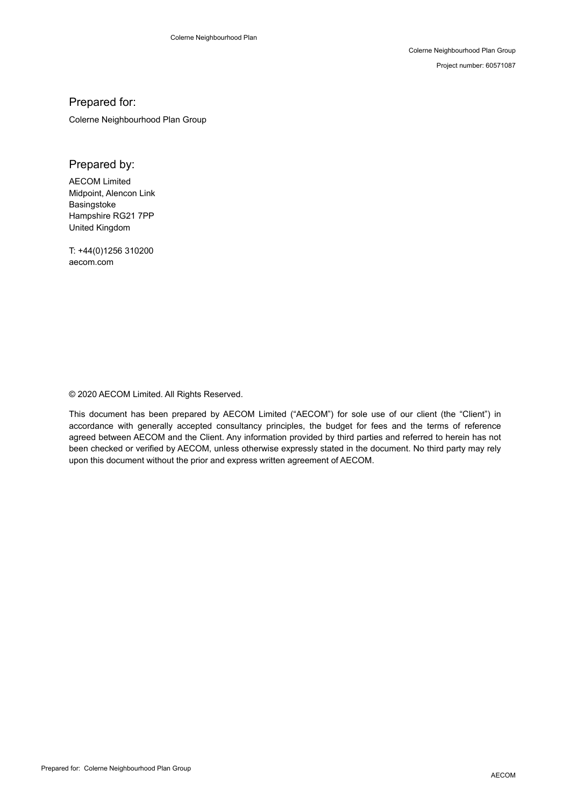#### <span id="page-3-0"></span>Prepared for:

Colerne Neighbourhood Plan Group

#### <span id="page-3-1"></span>Prepared by:

 AECOM Limited Midpoint, Alencon Link Basingstoke Hampshire RG21 7PP United Kingdom

T: +44(0)1256 310200 aecom.com

© 2020 AECOM Limited. All Rights Reserved.

This document has been prepared by AECOM Limited ("AECOM") for sole use of our client (the "Client") in accordance with generally accepted consultancy principles, the budget for fees and the terms of reference agreed between AECOM and the Client. Any information provided by third parties and referred to herein has not been checked or verified by AECOM, unless otherwise expressly stated in the document. No third party may rely upon this document without the prior and express written agreement of AECOM.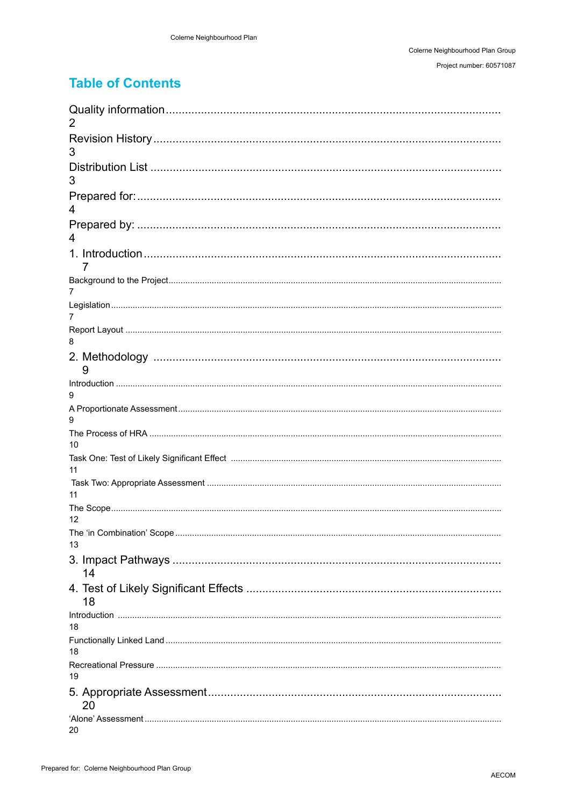### **Table of Contents**

| 3  |
|----|
| 3  |
| 4  |
| 4  |
|    |
|    |
|    |
|    |
| 9  |
|    |
|    |
| 10 |
| 11 |
| 11 |
| 12 |
| 13 |
| 14 |
| 18 |
| 18 |
| 18 |
| 19 |
| 20 |
| 20 |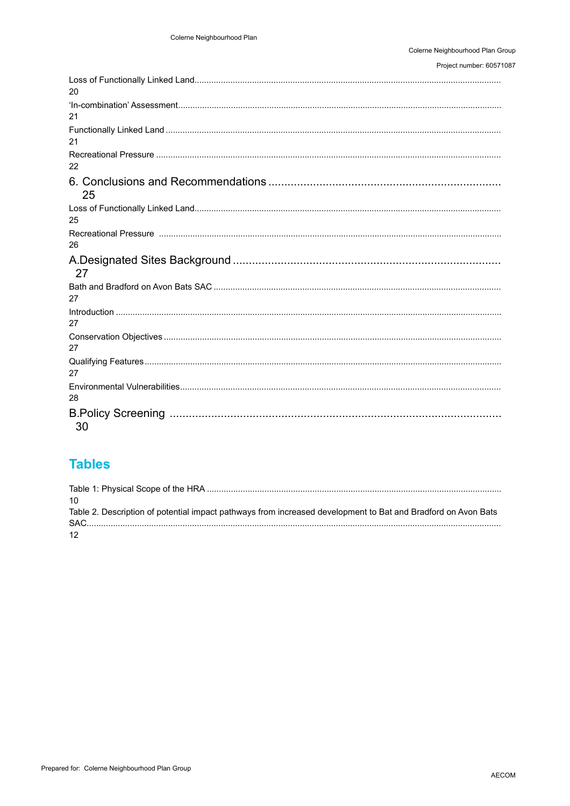| 20 |
|----|
| 21 |
| 21 |
| 22 |
| 25 |
| 25 |
| 26 |
| 27 |
| 27 |
| 27 |
| 27 |
| 27 |
| 28 |
| 30 |

### **Tables**

 $10$ Table 2. Description of potential impact pathways from increased development to Bat and Bradford on Avon Bats  $12$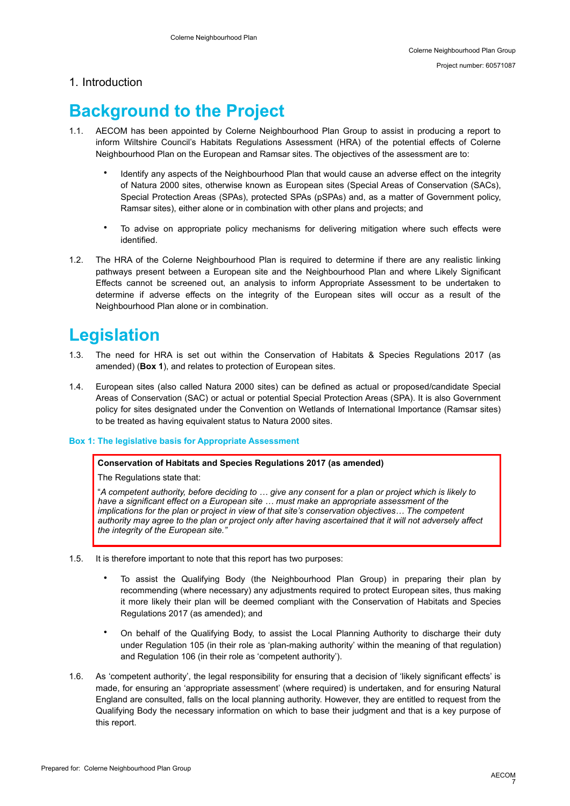#### <span id="page-6-0"></span>1. Introduction

# <span id="page-6-1"></span>**Background to the Project**

- 1.1. AECOM has been appointed by Colerne Neighbourhood Plan Group to assist in producing a report to inform Wiltshire Council's Habitats Regulations Assessment (HRA) of the potential effects of Colerne Neighbourhood Plan on the European and Ramsar sites. The objectives of the assessment are to:
	- Identify any aspects of the Neighbourhood Plan that would cause an adverse effect on the integrity of Natura 2000 sites, otherwise known as European sites (Special Areas of Conservation (SACs), Special Protection Areas (SPAs), protected SPAs (pSPAs) and, as a matter of Government policy, Ramsar sites), either alone or in combination with other plans and projects; and
	- To advise on appropriate policy mechanisms for delivering mitigation where such effects were identified.
- 1.2. The HRA of the Colerne Neighbourhood Plan is required to determine if there are any realistic linking pathways present between a European site and the Neighbourhood Plan and where Likely Significant Effects cannot be screened out, an analysis to inform Appropriate Assessment to be undertaken to determine if adverse effects on the integrity of the European sites will occur as a result of the Neighbourhood Plan alone or in combination.

# <span id="page-6-2"></span>**Legislation**

- 1.3. The need for HRA is set out within the Conservation of Habitats & Species Regulations 2017 (as amended) (**[Box 1](#page-6-3)**), and relates to protection of European sites.
- 1.4. European sites (also called Natura 2000 sites) can be defined as actual or proposed/candidate Special Areas of Conservation (SAC) or actual or potential Special Protection Areas (SPA). It is also Government policy for sites designated under the Convention on Wetlands of International Importance (Ramsar sites) to be treated as having equivalent status to Natura 2000 sites.

#### <span id="page-6-3"></span>**Box 1: The legislative basis for Appropriate Assessment**

#### **Conservation of Habitats and Species Regulations 2017 (as amended)**

The Regulations state that:

"*A competent authority, before deciding to … give any consent for a plan or project which is likely to have a significant effect on a European site … must make an appropriate assessment of the implications for the plan or project in view of that site's conservation objectives… The competent authority may agree to the plan or project only after having ascertained that it will not adversely affect the integrity of the European site."*

- 1.5. It is therefore important to note that this report has two purposes:
	- To assist the Qualifying Body (the Neighbourhood Plan Group) in preparing their plan by recommending (where necessary) any adjustments required to protect European sites, thus making it more likely their plan will be deemed compliant with the Conservation of Habitats and Species Regulations 2017 (as amended); and
	- On behalf of the Qualifying Body, to assist the Local Planning Authority to discharge their duty under Regulation 105 (in their role as 'plan-making authority' within the meaning of that regulation) and Regulation 106 (in their role as 'competent authority').
- 1.6. As 'competent authority', the legal responsibility for ensuring that a decision of 'likely significant effects' is made, for ensuring an 'appropriate assessment' (where required) is undertaken, and for ensuring Natural England are consulted, falls on the local planning authority. However, they are entitled to request from the Qualifying Body the necessary information on which to base their judgment and that is a key purpose of this report.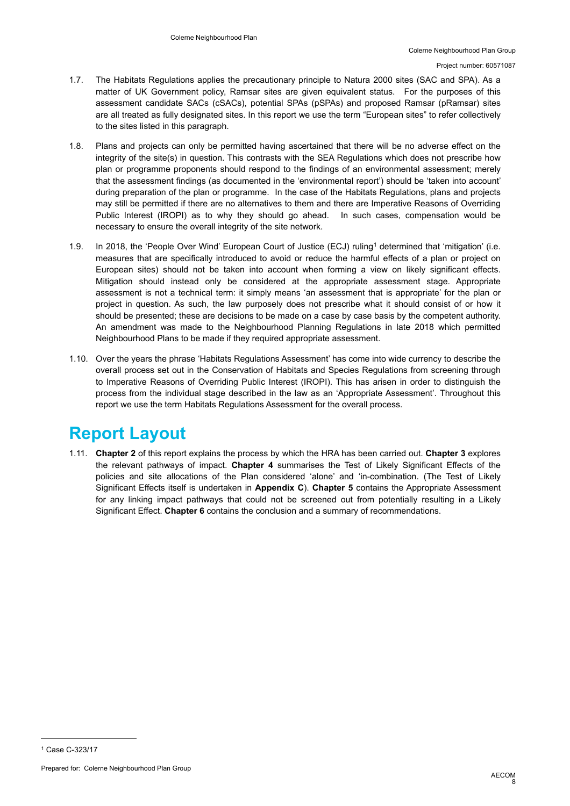- 1.7. The Habitats Regulations applies the precautionary principle to Natura 2000 sites (SAC and SPA). As a matter of UK Government policy, Ramsar sites are given equivalent status. For the purposes of this assessment candidate SACs (cSACs), potential SPAs (pSPAs) and proposed Ramsar (pRamsar) sites are all treated as fully designated sites. In this report we use the term "European sites" to refer collectively to the sites listed in this paragraph.
- 1.8. Plans and projects can only be permitted having ascertained that there will be no adverse effect on the integrity of the site(s) in question. This contrasts with the SEA Regulations which does not prescribe how plan or programme proponents should respond to the findings of an environmental assessment; merely that the assessment findings (as documented in the 'environmental report') should be 'taken into account' during preparation of the plan or programme. In the case of the Habitats Regulations, plans and projects may still be permitted if there are no alternatives to them and there are Imperative Reasons of Overriding Public Interest (IROPI) as to why they should go ahead. In such cases, compensation would be necessary to ensure the overall integrity of the site network.
- <span id="page-7-2"></span>[1](#page-7-1).9. In 2018, the 'People Over Wind' European Court of Justice (ECJ) ruling<sup>1</sup> determined that 'mitigation' (i.e. measures that are specifically introduced to avoid or reduce the harmful effects of a plan or project on European sites) should not be taken into account when forming a view on likely significant effects. Mitigation should instead only be considered at the appropriate assessment stage. Appropriate assessment is not a technical term: it simply means 'an assessment that is appropriate' for the plan or project in question. As such, the law purposely does not prescribe what it should consist of or how it should be presented; these are decisions to be made on a case by case basis by the competent authority. An amendment was made to the Neighbourhood Planning Regulations in late 2018 which permitted Neighbourhood Plans to be made if they required appropriate assessment.
- 1.10. Over the years the phrase 'Habitats Regulations Assessment' has come into wide currency to describe the overall process set out in the Conservation of Habitats and Species Regulations from screening through to Imperative Reasons of Overriding Public Interest (IROPI). This has arisen in order to distinguish the process from the individual stage described in the law as an 'Appropriate Assessment'. Throughout this report we use the term Habitats Regulations Assessment for the overall process.

# <span id="page-7-0"></span>**Report Layout**

1.11. **Chapter 2** of this report explains the process by which the HRA has been carried out. **Chapter 3** explores the relevant pathways of impact. **Chapter 4** summarises the Test of Likely Significant Effects of the policies and site allocations of the Plan considered 'alone' and 'in-combination. (The Test of Likely Significant Effects itself is undertaken in **Appendix C**). **Chapter 5** contains the Appropriate Assessment for any linking impact pathways that could not be screened out from potentially resulting in a Likely Significant Effect. **Chapter 6** contains the conclusion and a summary of recommendations.

<span id="page-7-1"></span>[<sup>1</sup>](#page-7-2) Case C-323/17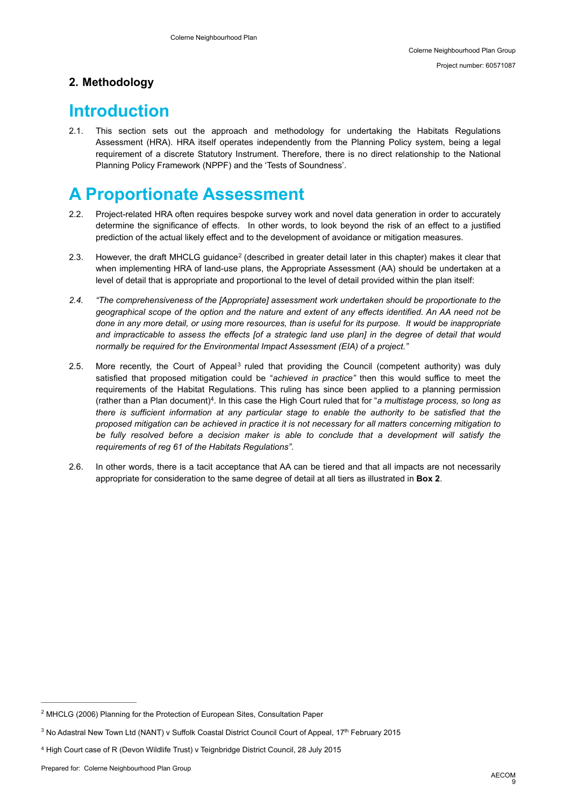### <span id="page-8-0"></span>**2. Methodology**

### <span id="page-8-1"></span>**Introduction**

2.1. This section sets out the approach and methodology for undertaking the Habitats Regulations Assessment (HRA). HRA itself operates independently from the Planning Policy system, being a legal requirement of a discrete Statutory Instrument. Therefore, there is no direct relationship to the National Planning Policy Framework (NPPF) and the 'Tests of Soundness'.

# <span id="page-8-2"></span>**A Proportionate Assessment**

- 2.2. Project-related HRA often requires bespoke survey work and novel data generation in order to accurately determine the significance of effects. In other words, to look beyond the risk of an effect to a justified prediction of the actual likely effect and to the development of avoidance or mitigation measures.
- <span id="page-8-6"></span>2.3.However, the draft MHCLG quidance<sup>[2](#page-8-3)</sup> (described in greater detail later in this chapter) makes it clear that when implementing HRA of land-use plans, the Appropriate Assessment (AA) should be undertaken at a level of detail that is appropriate and proportional to the level of detail provided within the plan itself:
- *2.4. "The comprehensiveness of the [Appropriate] assessment work undertaken should be proportionate to the geographical scope of the option and the nature and extent of any effects identified. An AA need not be done in any more detail, or using more resources, than is useful for its purpose. It would be inappropriate and impracticable to assess the effects [of a strategic land use plan] in the degree of detail that would normally be required for the Environmental Impact Assessment (EIA) of a project."*
- <span id="page-8-8"></span><span id="page-8-7"></span>2.5.More recently, the Court of Appeal<sup>[3](#page-8-4)</sup> ruled that providing the Council (competent authority) was duly satisfied that proposed mitigation could be "*achieved in practice"* then this would suffice to meet the requirements of the Habitat Regulations. This ruling has since been applied to a planning permission (rather than a Plan document) . In this case the High Court ruled that for "*a multistage process, so long as* [4](#page-8-5) *there is sufficient information at any particular stage to enable the authority to be satisfied that the proposed mitigation can be achieved in practice it is not necessary for all matters concerning mitigation to be fully resolved before a decision maker is able to conclude that a development will satisfy the requirements of reg 61 of the Habitats Regulations"*.
- 2.6. In other words, there is a tacit acceptance that AA can be tiered and that all impacts are not necessarily appropriate for consideration to the same degree of detail at all tiers as illustrated in **Box 2**.

<span id="page-8-3"></span><sup>&</sup>lt;sup>[2](#page-8-6)</sup> MHCLG (2006) Planning for the Protection of European Sites, Consultation Paper

<span id="page-8-4"></span><sup>&</sup>lt;sup>[3](#page-8-7)</sup> No Adastral New Town Ltd (NANT) v Suffolk Coastal District Council Court of Appeal, 17<sup>th</sup> February 2015

<span id="page-8-5"></span>[<sup>4</sup>](#page-8-8) High Court case of R (Devon Wildlife Trust) v Teignbridge District Council, 28 July 2015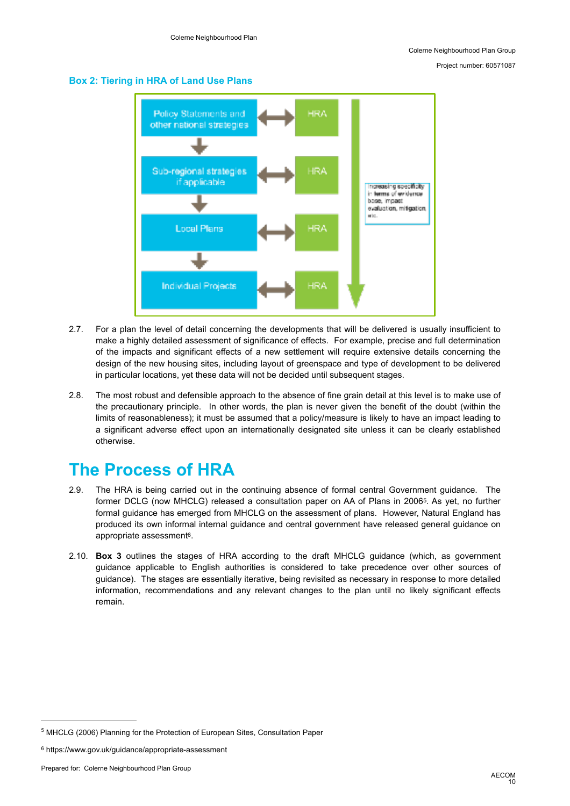#### **Box 2: Tiering in HRA of Land Use Plans**



- 2.7. For a plan the level of detail concerning the developments that will be delivered is usually insufficient to make a highly detailed assessment of significance of effects. For example, precise and full determination of the impacts and significant effects of a new settlement will require extensive details concerning the design of the new housing sites, including layout of greenspace and type of development to be delivered in particular locations, yet these data will not be decided until subsequent stages.
- 2.8. The most robust and defensible approach to the absence of fine grain detail at this level is to make use of the precautionary principle. In other words, the plan is never given the benefit of the doubt (within the limits of reasonableness); it must be assumed that a policy/measure is likely to have an impact leading to a significant adverse effect upon an internationally designated site unless it can be clearly established otherwise.

# <span id="page-9-0"></span>**The Process of HRA**

- <span id="page-9-3"></span>2.9. The HRA is being carried out in the continuing absence of formal central Government guidance. The former DCLG (now MHCLG) released a consultation paper on AA of Plans in 2006<sup>[5](#page-9-1)</sup>. As yet, no further formal guidance has emerged from MHCLG on the assessment of plans. However, Natural England has produced its own informal internal guidance and central government have released general guidance on appropriate assessment<sup>6</sup>[.](#page-9-2)
- <span id="page-9-4"></span>2.10. **Box 3** outlines the stages of HRA according to the draft MHCLG guidance (which, as government guidance applicable to English authorities is considered to take precedence over other sources of guidance). The stages are essentially iterative, being revisited as necessary in response to more detailed information, recommendations and any relevant changes to the plan until no likely significant effects remain.

<span id="page-9-1"></span><sup>&</sup>lt;sup>[5](#page-9-3)</sup> MHCLG (2006) Planning for the Protection of European Sites, Consultation Paper

<span id="page-9-2"></span>https://www.gov.uk/guidance/appropriate-assessment [6](#page-9-4)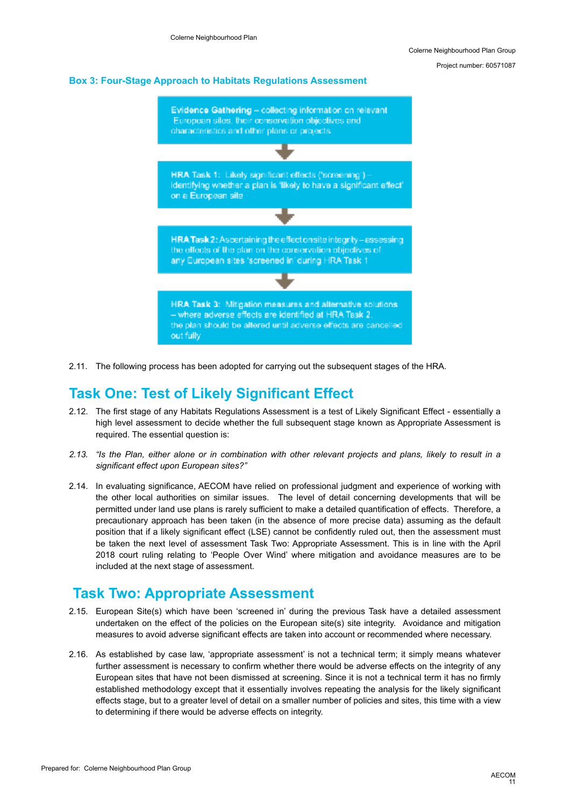#### **Box 3: Four-Stage Approach to Habitats Regulations Assessment**



2.11. The following process has been adopted for carrying out the subsequent stages of the HRA.

### <span id="page-10-0"></span>**Task One: Test of Likely Significant Effect**

- 2.12. The first stage of any Habitats Regulations Assessment is a test of Likely Significant Effect essentially a high level assessment to decide whether the full subsequent stage known as Appropriate Assessment is required. The essential question is:
- *2.13. "Is the Plan, either alone or in combination with other relevant projects and plans, likely to result in a significant effect upon European sites?"*
- 2.14. In evaluating significance, AECOM have relied on professional judgment and experience of working with the other local authorities on similar issues. The level of detail concerning developments that will be permitted under land use plans is rarely sufficient to make a detailed quantification of effects. Therefore, a precautionary approach has been taken (in the absence of more precise data) assuming as the default position that if a likely significant effect (LSE) cannot be confidently ruled out, then the assessment must be taken the next level of assessment Task Two: Appropriate Assessment. This is in line with the April 2018 court ruling relating to 'People Over Wind' where mitigation and avoidance measures are to be included at the next stage of assessment.

### <span id="page-10-1"></span> **Task Two: Appropriate Assessment**

- 2.15. European Site(s) which have been 'screened in' during the previous Task have a detailed assessment undertaken on the effect of the policies on the European site(s) site integrity. Avoidance and mitigation measures to avoid adverse significant effects are taken into account or recommended where necessary.
- 2.16. As established by case law, 'appropriate assessment' is not a technical term; it simply means whatever further assessment is necessary to confirm whether there would be adverse effects on the integrity of any European sites that have not been dismissed at screening. Since it is not a technical term it has no firmly established methodology except that it essentially involves repeating the analysis for the likely significant effects stage, but to a greater level of detail on a smaller number of policies and sites, this time with a view to determining if there would be adverse effects on integrity.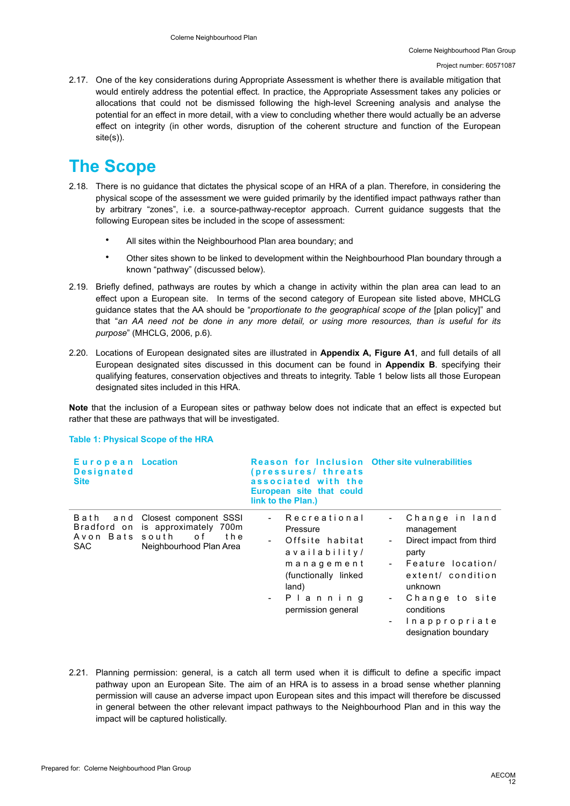2.17. One of the key considerations during Appropriate Assessment is whether there is available mitigation that would entirely address the potential effect. In practice, the Appropriate Assessment takes any policies or allocations that could not be dismissed following the high-level Screening analysis and analyse the potential for an effect in more detail, with a view to concluding whether there would actually be an adverse effect on integrity (in other words, disruption of the coherent structure and function of the European site(s)).

## <span id="page-11-0"></span>**The Scope**

- 2.18. There is no guidance that dictates the physical scope of an HRA of a plan. Therefore, in considering the physical scope of the assessment we were guided primarily by the identified impact pathways rather than by arbitrary "zones", i.e. a source-pathway-receptor approach. Current guidance suggests that the following European sites be included in the scope of assessment:
	- All sites within the Neighbourhood Plan area boundary; and
	- Other sites shown to be linked to development within the Neighbourhood Plan boundary through a known "pathway" (discussed below).
- 2.19. Briefly defined, pathways are routes by which a change in activity within the plan area can lead to an effect upon a European site. In terms of the second category of European site listed above, MHCLG guidance states that the AA should be "*proportionate to the geographical scope of the* [plan policy]" and that "*an AA need not be done in any more detail, or using more resources, than is useful for its purpose*" (MHCLG, 2006, p.6).
- 2.20. Locations of European designated sites are illustrated in **Appendix A, Figure A1**, and full details of all European designated sites discussed in this document can be found in **Appendix B**. specifying their qualifying features, conservation objectives and threats to integrity. Table 1 below lists all those European designated sites included in this HRA.

**Note** that the inclusion of a European sites or pathway below does not indicate that an effect is expected but rather that these are pathways that will be investigated.

#### **Table 1: Physical Scope of the HRA**

| European Location<br><b>Designated</b><br><b>Site</b>    |                                                                                         | Reason for Inclusion Other site vulnerabilities<br>(pressures/ threats<br>associated with the<br>European site that could<br>link to the Plan.)                                    |                                                                                                                                                                                                                                                                                             |
|----------------------------------------------------------|-----------------------------------------------------------------------------------------|------------------------------------------------------------------------------------------------------------------------------------------------------------------------------------|---------------------------------------------------------------------------------------------------------------------------------------------------------------------------------------------------------------------------------------------------------------------------------------------|
| Bath and<br>Bradford on<br>Avon Bats south<br><b>SAC</b> | Closest component SSSI<br>is approximately 700m<br>of<br>the<br>Neighbourhood Plan Area | Recreational<br>Pressure<br>Offsite habitat<br>$\blacksquare$<br>availability/<br>management<br>(functionally linked)<br>land)<br>Planning<br>$\blacksquare$<br>permission general | Change in land<br>$\blacksquare$<br>management<br>Direct impact from third<br>$\overline{\phantom{a}}$<br>party<br>Feature location/<br>extent/ condition<br>unknown<br>Change to site<br>$\blacksquare$<br>conditions<br>Inappropriate<br>$\overline{\phantom{a}}$<br>designation boundary |

2.21. Planning permission: general, is a catch all term used when it is difficult to define a specific impact pathway upon an European Site. The aim of an HRA is to assess in a broad sense whether planning permission will cause an adverse impact upon European sites and this impact will therefore be discussed in general between the other relevant impact pathways to the Neighbourhood Plan and in this way the impact will be captured holistically.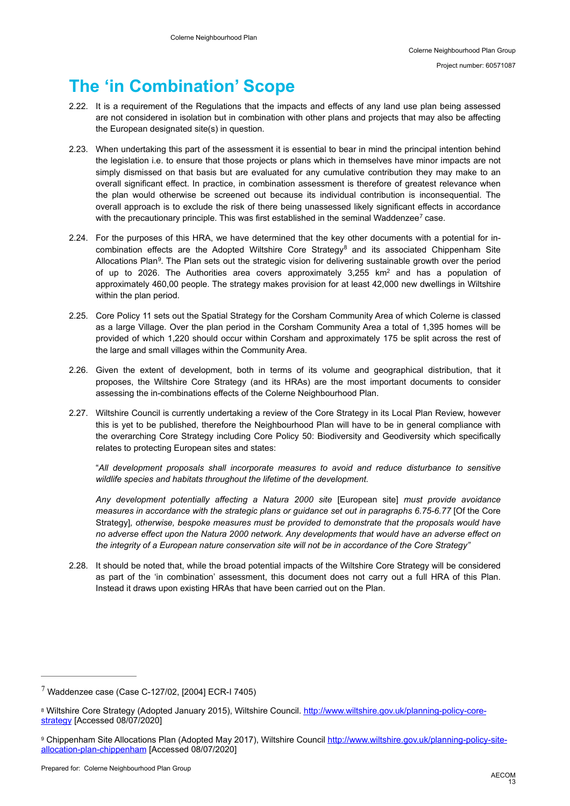# <span id="page-12-0"></span>**The 'in Combination' Scope**

- 2.22. It is a requirement of the Regulations that the impacts and effects of any land use plan being assessed are not considered in isolation but in combination with other plans and projects that may also be affecting the European designated site(s) in question.
- 2.23. When undertaking this part of the assessment it is essential to bear in mind the principal intention behind the legislation i.e. to ensure that those projects or plans which in themselves have minor impacts are not simply dismissed on that basis but are evaluated for any cumulative contribution they may make to an overall significant effect. In practice, in combination assessment is therefore of greatest relevance when the plan would otherwise be screened out because its individual contribution is inconsequential. The overall approach is to exclude the risk of there being unassessed likely significant effects in accordance with the precautionary principle. This was first established in the seminal Waddenzee<sup>[7](#page-12-1)</sup> case.
- <span id="page-12-6"></span><span id="page-12-5"></span><span id="page-12-4"></span>2.24. For the purposes of this HRA, we have determined that the key other documents with a potential for in-combination effects are the Adopted Wiltshire Core Strategy<sup>[8](#page-12-2)</sup> and its associated Chippenham Site Allocations Plan<sup>9</sup>[.](#page-12-3) The Plan sets out the strategic vision for delivering sustainable growth over the period of up to 2026. The Authorities area covers approximately 3,255 km2 and has a population of approximately 460,00 people. The strategy makes provision for at least 42,000 new dwellings in Wiltshire within the plan period.
- 2.25. Core Policy 11 sets out the Spatial Strategy for the Corsham Community Area of which Colerne is classed as a large Village. Over the plan period in the Corsham Community Area a total of 1,395 homes will be provided of which 1,220 should occur within Corsham and approximately 175 be split across the rest of the large and small villages within the Community Area.
- 2.26. Given the extent of development, both in terms of its volume and geographical distribution, that it proposes, the Wiltshire Core Strategy (and its HRAs) are the most important documents to consider assessing the in-combinations effects of the Colerne Neighbourhood Plan.
- 2.27. Wiltshire Council is currently undertaking a review of the Core Strategy in its Local Plan Review, however this is yet to be published, therefore the Neighbourhood Plan will have to be in general compliance with the overarching Core Strategy including Core Policy 50: Biodiversity and Geodiversity which specifically relates to protecting European sites and states:

"*All development proposals shall incorporate measures to avoid and reduce disturbance to sensitive wildlife species and habitats throughout the lifetime of the development.*

*Any development potentially affecting a Natura 2000 site* [European site] *must provide avoidance measures in accordance with the strategic plans or guidance set out in paragraphs 6.75-6.77* [Of the Core Strategy]*, otherwise, bespoke measures must be provided to demonstrate that the proposals would have no adverse effect upon the Natura 2000 network. Any developments that would have an adverse effect on the integrity of a European nature conservation site will not be in accordance of the Core Strategy"*

2.28. It should be noted that, while the broad potential impacts of the Wiltshire Core Strategy will be considered as part of the 'in combination' assessment, this document does not carry out a full HRA of this Plan. Instead it draws upon existing HRAs that have been carried out on the Plan.

<span id="page-12-1"></span> $7$  Waddenzee case (Case C-127/02, [2004] ECR-I 7405)

<span id="page-12-2"></span><sup>&</sup>lt;sup>8</sup> Wiltshire Core Strategy (Adopted January 2015), Wiltshire Council. [http://www.wiltshire.gov.uk/planning-policy-core](http://www.wiltshire.gov.uk/planning-policy-core-strategy) [strategy](http://www.wiltshire.gov.uk/planning-policy-core-strategy) [Accessed 08/07/2020]

<span id="page-12-3"></span><sup>&</sup>lt;sup>9</sup> Chippenham Site Allocations Plan (Adopted May 2017), Wiltshire Council [http://www.wiltshire.gov.uk/planning-policy-site](http://www.wiltshire.gov.uk/planning-policy-site-allocation-plan-chippenham) [allocation-plan-chippenham](http://www.wiltshire.gov.uk/planning-policy-site-allocation-plan-chippenham) [Accessed 08/07/2020]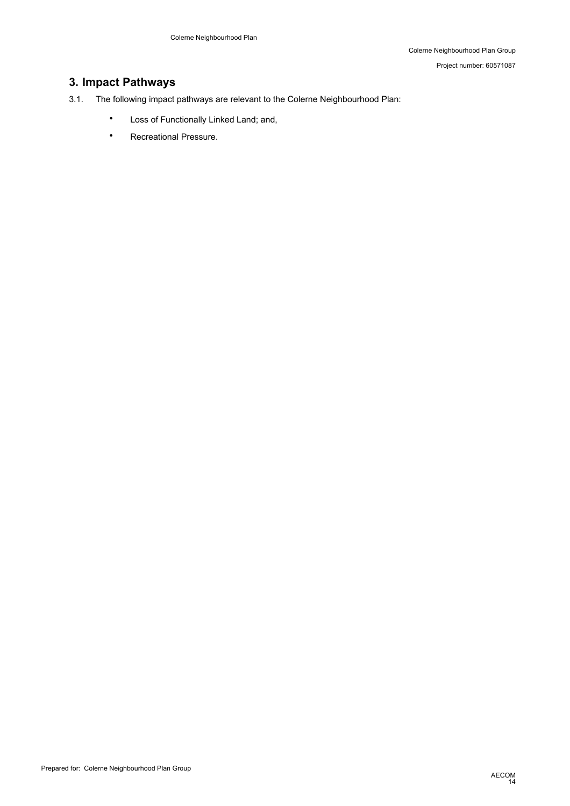### <span id="page-13-0"></span>**3. Impact Pathways**

- 3.1. The following impact pathways are relevant to the Colerne Neighbourhood Plan:
	- Loss of Functionally Linked Land; and,
	- Recreational Pressure.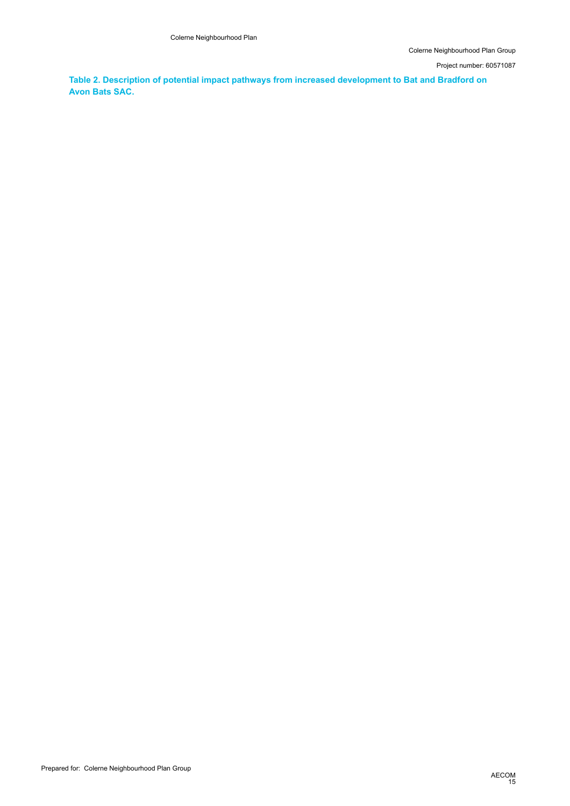**Table 2. Description of potential impact pathways from increased development to Bat and Bradford on Avon Bats SAC.**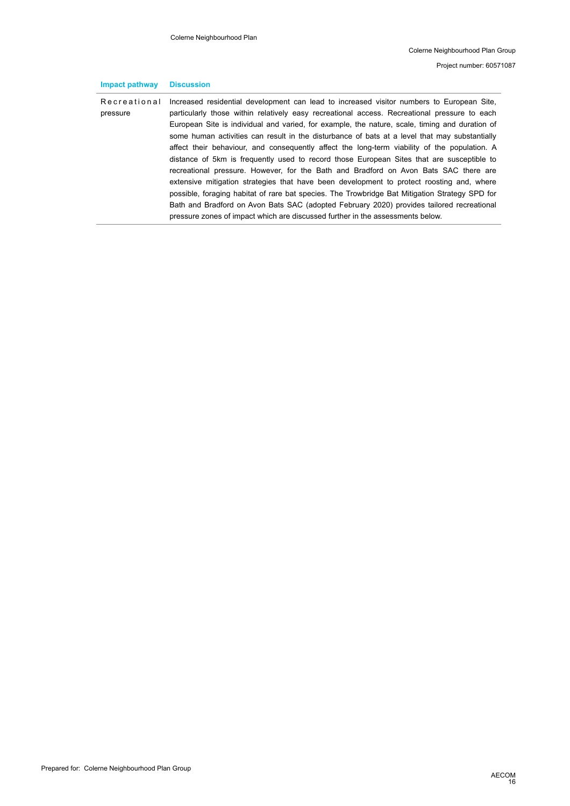| <b>Impact pathway</b>    | <b>Discussion</b>                                                                                                                                                                                                                                                                                                                                                                                                                                                                                                                                                                                                                                                                                                                                                                                                                                                                                                                                                                                                                                               |
|--------------------------|-----------------------------------------------------------------------------------------------------------------------------------------------------------------------------------------------------------------------------------------------------------------------------------------------------------------------------------------------------------------------------------------------------------------------------------------------------------------------------------------------------------------------------------------------------------------------------------------------------------------------------------------------------------------------------------------------------------------------------------------------------------------------------------------------------------------------------------------------------------------------------------------------------------------------------------------------------------------------------------------------------------------------------------------------------------------|
| Recreational<br>pressure | Increased residential development can lead to increased visitor numbers to European Site.<br>particularly those within relatively easy recreational access. Recreational pressure to each<br>European Site is individual and varied, for example, the nature, scale, timing and duration of<br>some human activities can result in the disturbance of bats at a level that may substantially<br>affect their behaviour, and consequently affect the long-term viability of the population. A<br>distance of 5km is frequently used to record those European Sites that are susceptible to<br>recreational pressure. However, for the Bath and Bradford on Avon Bats SAC there are<br>extensive mitigation strategies that have been development to protect roosting and, where<br>possible, foraging habitat of rare bat species. The Trowbridge Bat Mitigation Strategy SPD for<br>Bath and Bradford on Avon Bats SAC (adopted February 2020) provides tailored recreational<br>pressure zones of impact which are discussed further in the assessments below. |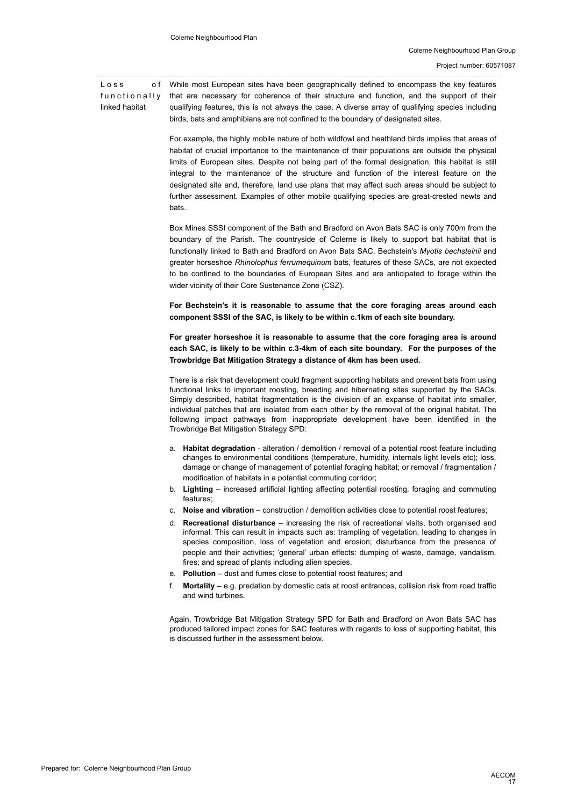| Loss<br>o t<br>functionally<br>linked habitat | While most European sites have been geographically defined to encompass the key features<br>that are necessary for coherence of their structure and function, and the support of their<br>qualifying features, this is not always the case. A diverse array of qualifying species including<br>birds, bats and amphibians are not confined to the boundary of designated sites.                                                                                                                                                                                                                               |
|-----------------------------------------------|---------------------------------------------------------------------------------------------------------------------------------------------------------------------------------------------------------------------------------------------------------------------------------------------------------------------------------------------------------------------------------------------------------------------------------------------------------------------------------------------------------------------------------------------------------------------------------------------------------------|
|                                               | For example, the highly mobile nature of both wildfowl and heathland birds implies that areas of<br>habitat of crucial importance to the maintenance of their populations are outside the physical<br>limits of European sites. Despite not being part of the formal designation, this habitat is still<br>integral to the maintenance of the structure and function of the interest feature on the<br>designated site and, therefore, land use plans that may affect such areas should be subject to<br>further assessment. Examples of other mobile qualifying species are great-crested newts and<br>bats. |
|                                               | Box Mines SSSI component of the Bath and Bradford on Avon Bats SAC is only 700m from the<br>boundary of the Parish. The countryside of Colerne is likely to support bat habitat that is<br>functionally linked to Bath and Bradford on Avon Bats SAC. Bechstein's Myotis bechsteinii and<br>greater horseshoe Rhinolophus ferrumequinum bats, features of these SACs, are not expected<br>to be confined to the boundaries of European Sites and are anticipated to forage within the<br>wider vicinity of their Core Sustenance Zone (CSZ).                                                                  |
|                                               | For Bechstein's it is reasonable to assume that the core foraging areas around each<br>component SSSI of the SAC, is likely to be within c.1km of each site boundary.                                                                                                                                                                                                                                                                                                                                                                                                                                         |
|                                               | For greater horseshoe it is reasonable to assume that the core foraging area is around<br>each SAC, is likely to be within c.3-4km of each site boundary. For the purposes of the<br>Trowbridge Bat Mitigation Strategy a distance of 4km has been used.                                                                                                                                                                                                                                                                                                                                                      |
|                                               | There is a risk that development could fragment supporting habitats and prevent bats from using<br>functional links to important roosting, breeding and hibernating sites supported by the SACs.<br>Simply described, habitat fragmentation is the division of an expanse of habitat into smaller,<br>individual patches that are isolated from each other by the removal of the original habitat. The<br>following impact pathways from inappropriate development have been identified in the<br>Trowbridge Bat Mitigation Strategy SPD:                                                                     |
|                                               | a. <b>Habitat degradation</b> - alteration / demolition / removal of a potential roost feature including<br>changes to environmental conditions (temperature, humidity, internals light levels etc); loss,<br>damage or change of management of potential foraging habitat; or removal / fragmentation /<br>modification of habitats in a potential commuting corridor;                                                                                                                                                                                                                                       |
|                                               | b. Lighting $-$ increased artificial lighting affecting potential roosting, foraging and commuting<br>features;                                                                                                                                                                                                                                                                                                                                                                                                                                                                                               |
|                                               | c. Noise and vibration – construction / demolition activities close to potential roost features;                                                                                                                                                                                                                                                                                                                                                                                                                                                                                                              |
|                                               | d. Recreational disturbance – increasing the risk of recreational visits, both organised and<br>informal. This can result in impacts such as: trampling of vegetation, leading to changes in<br>species composition, loss of vegetation and erosion; disturbance from the presence of<br>people and their activities; 'general' urban effects: dumping of waste, damage, vandalism,<br>fires; and spread of plants including alien species.                                                                                                                                                                   |
|                                               | e. Pollution – dust and fumes close to potential roost features; and                                                                                                                                                                                                                                                                                                                                                                                                                                                                                                                                          |
|                                               | Mortality – e.g. predation by domestic cats at roost entrances, collision risk from road traffic<br>f.<br>and wind turbines.                                                                                                                                                                                                                                                                                                                                                                                                                                                                                  |
|                                               | Again, Trowbridge Bat Mitigation Strategy SPD for Bath and Bradford on Avon Bats SAC has<br>produced tailored impact zones for SAC features with regards to loss of supporting habitat, this<br>is discussed further in the assessment below.                                                                                                                                                                                                                                                                                                                                                                 |
|                                               |                                                                                                                                                                                                                                                                                                                                                                                                                                                                                                                                                                                                               |
|                                               |                                                                                                                                                                                                                                                                                                                                                                                                                                                                                                                                                                                                               |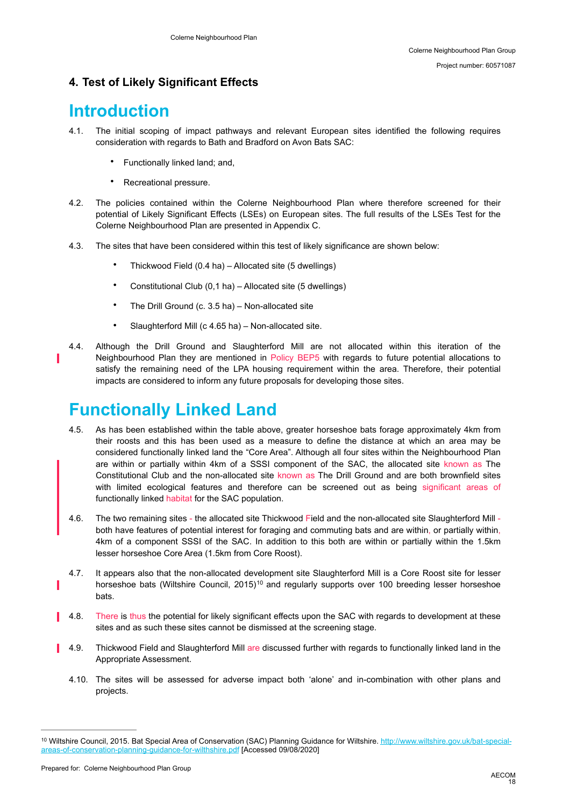### <span id="page-17-0"></span>**4. Test of Likely Significant Effects**

## <span id="page-17-1"></span>**Introduction**

ı

- 4.1. The initial scoping of impact pathways and relevant European sites identified the following requires consideration with regards to Bath and Bradford on Avon Bats SAC:
	- Functionally linked land; and,
	- Recreational pressure.
- 4.2. The policies contained within the Colerne Neighbourhood Plan where therefore screened for their potential of Likely Significant Effects (LSEs) on European sites. The full results of the LSEs Test for the Colerne Neighbourhood Plan are presented in Appendix C.
- 4.3. The sites that have been considered within this test of likely significance are shown below:
	- Thickwood Field (0.4 ha) Allocated site (5 dwellings)
	- Constitutional Club (0,1 ha) Allocated site (5 dwellings)
	- The Drill Ground (c. 3.5 ha) Non-allocated site
	- Slaughterford Mill (c 4.65 ha) Non-allocated site.
- 4.4. Although the Drill Ground and Slaughterford Mill are not allocated within this iteration of the Neighbourhood Plan they are mentioned in Policy BEP5 with regards to future potential allocations to satisfy the remaining need of the LPA housing requirement within the area. Therefore, their potential impacts are considered to inform any future proposals for developing those sites.

# <span id="page-17-2"></span>**Functionally Linked Land**

- 4.5. As has been established within the table above, greater horseshoe bats forage approximately 4km from their roosts and this has been used as a measure to define the distance at which an area may be considered functionally linked land the "Core Area". Although all four sites within the Neighbourhood Plan are within or partially within 4km of a SSSI component of the SAC, the allocated site known as The Constitutional Club and the non-allocated site known as The Drill Ground and are both brownfield sites with limited ecological features and therefore can be screened out as being significant areas of functionally linked habitat for the SAC population.
- 4.6. The two remaining sites the allocated site Thickwood Field and the non-allocated site Slaughterford Mill both have features of potential interest for foraging and commuting bats and are within, or partially within, 4km of a component SSSI of the SAC. In addition to this both are within or partially within the 1.5km lesser horseshoe Core Area (1.5km from Core Roost).
- <span id="page-17-4"></span>4.7. It appears also that the non-allocated development site Slaughterford Mill is a Core Roost site for lesser horseshoebats (Wiltshire Council, 2015)<sup>[10](#page-17-3)</sup> and regularly supports over 100 breeding lesser horseshoe bats.
- 4.8. There is thus the potential for likely significant effects upon the SAC with regards to development at these sites and as such these sites cannot be dismissed at the screening stage.
- 4.9. Thickwood Field and Slaughterford Mill are discussed further with regards to functionally linked land in the Appropriate Assessment.
	- 4.10. The sites will be assessed for adverse impact both 'alone' and in-combination with other plans and projects.

<span id="page-17-3"></span><sup>&</sup>lt;sup>10</sup> Wiltshire Council, 2015. Bat Special Area of Conservation (SAC) Planning Guidance for Wiltshire. [http://www.wiltshire.gov.uk/bat-special](http://www.wiltshire.gov.uk/bat-special-areas-of-conservation-planning-guidance-for-wilthshire.pdf) [areas-of-conservation-planning-guidance-for-wilthshire.pdf](http://www.wiltshire.gov.uk/bat-special-areas-of-conservation-planning-guidance-for-wilthshire.pdf) [Accessed 09/08/2020]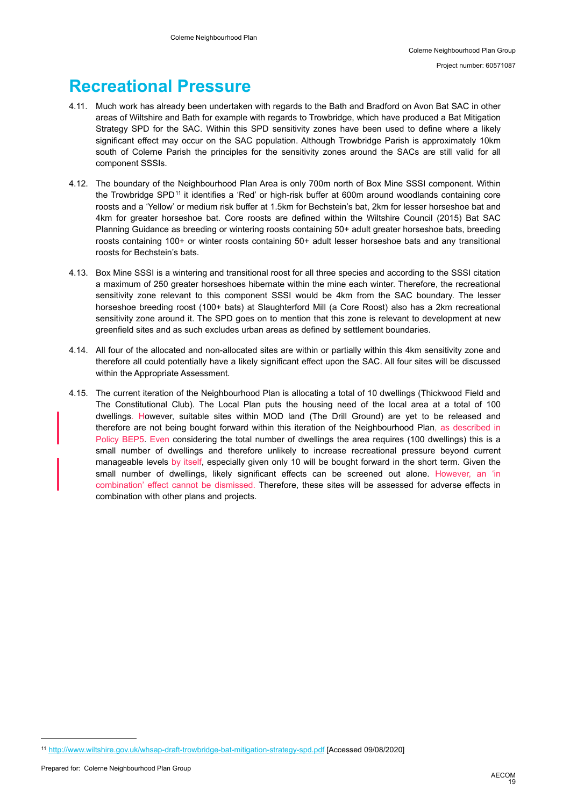## <span id="page-18-0"></span>**Recreational Pressure**

- 4.11. Much work has already been undertaken with regards to the Bath and Bradford on Avon Bat SAC in other areas of Wiltshire and Bath for example with regards to Trowbridge, which have produced a Bat Mitigation Strategy SPD for the SAC. Within this SPD sensitivity zones have been used to define where a likely significant effect may occur on the SAC population. Although Trowbridge Parish is approximately 10km south of Colerne Parish the principles for the sensitivity zones around the SACs are still valid for all component SSSIs.
- <span id="page-18-2"></span>4.12. The boundary of the Neighbourhood Plan Area is only 700m north of Box Mine SSSI component. Within theTrowbridge SPD<sup>[11](#page-18-1)</sup> it identifies a 'Red' or high-risk buffer at 600m around woodlands containing core roosts and a 'Yellow' or medium risk buffer at 1.5km for Bechstein's bat, 2km for lesser horseshoe bat and 4km for greater horseshoe bat. Core roosts are defined within the Wiltshire Council (2015) Bat SAC Planning Guidance as breeding or wintering roosts containing 50+ adult greater horseshoe bats, breeding roosts containing 100+ or winter roosts containing 50+ adult lesser horseshoe bats and any transitional roosts for Bechstein's bats.
- 4.13. Box Mine SSSI is a wintering and transitional roost for all three species and according to the SSSI citation a maximum of 250 greater horseshoes hibernate within the mine each winter. Therefore, the recreational sensitivity zone relevant to this component SSSI would be 4km from the SAC boundary. The lesser horseshoe breeding roost (100+ bats) at Slaughterford Mill (a Core Roost) also has a 2km recreational sensitivity zone around it. The SPD goes on to mention that this zone is relevant to development at new greenfield sites and as such excludes urban areas as defined by settlement boundaries.
- 4.14. All four of the allocated and non-allocated sites are within or partially within this 4km sensitivity zone and therefore all could potentially have a likely significant effect upon the SAC. All four sites will be discussed within the Appropriate Assessment.
- 4.15. The current iteration of the Neighbourhood Plan is allocating a total of 10 dwellings (Thickwood Field and The Constitutional Club). The Local Plan puts the housing need of the local area at a total of 100 dwellings. However, suitable sites within MOD land (The Drill Ground) are yet to be released and therefore are not being bought forward within this iteration of the Neighbourhood Plan, as described in Policy BEP5. Even considering the total number of dwellings the area requires (100 dwellings) this is a small number of dwellings and therefore unlikely to increase recreational pressure beyond current manageable levels by itself, especially given only 10 will be bought forward in the short term. Given the small number of dwellings, likely significant effects can be screened out alone. However, an 'in combination' effect cannot be dismissed. Therefore, these sites will be assessed for adverse effects in combination with other plans and projects.

<span id="page-18-1"></span><http://www.wiltshire.gov.uk/whsap-draft-trowbridge-bat-mitigation-strategy-spd.pdf> [Accessed 09/08/2020] [11](#page-18-2)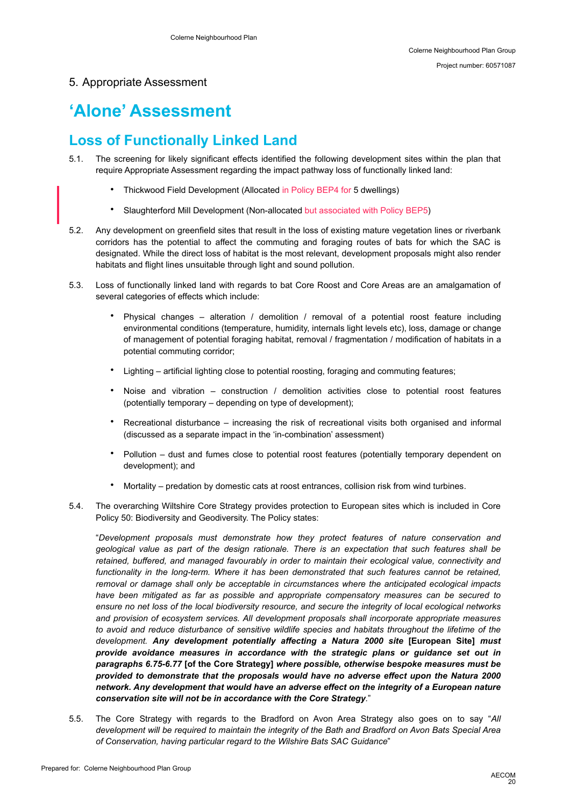#### <span id="page-19-0"></span>5. Appropriate Assessment

# <span id="page-19-1"></span>**'Alone' Assessment**

### <span id="page-19-2"></span>**Loss of Functionally Linked Land**

- 5.1. The screening for likely significant effects identified the following development sites within the plan that require Appropriate Assessment regarding the impact pathway loss of functionally linked land:
	- Thickwood Field Development (Allocated in Policy BEP4 for 5 dwellings)
	- Slaughterford Mill Development (Non-allocated but associated with Policy BEP5)
- 5.2. Any development on greenfield sites that result in the loss of existing mature vegetation lines or riverbank corridors has the potential to affect the commuting and foraging routes of bats for which the SAC is designated. While the direct loss of habitat is the most relevant, development proposals might also render habitats and flight lines unsuitable through light and sound pollution.
- 5.3. Loss of functionally linked land with regards to bat Core Roost and Core Areas are an amalgamation of several categories of effects which include:
	- Physical changes alteration / demolition / removal of a potential roost feature including environmental conditions (temperature, humidity, internals light levels etc), loss, damage or change of management of potential foraging habitat, removal / fragmentation / modification of habitats in a potential commuting corridor;
	- Lighting artificial lighting close to potential roosting, foraging and commuting features;
	- Noise and vibration construction / demolition activities close to potential roost features (potentially temporary – depending on type of development);
	- Recreational disturbance increasing the risk of recreational visits both organised and informal (discussed as a separate impact in the 'in-combination' assessment)
	- Pollution dust and fumes close to potential roost features (potentially temporary dependent on development); and
	- Mortality predation by domestic cats at roost entrances, collision risk from wind turbines.
- 5.4. The overarching Wiltshire Core Strategy provides protection to European sites which is included in Core Policy 50: Biodiversity and Geodiversity. The Policy states:

"*Development proposals must demonstrate how they protect features of nature conservation and geological value as part of the design rationale. There is an expectation that such features shall be retained, buffered, and managed favourably in order to maintain their ecological value, connectivity and functionality in the long-term. Where it has been demonstrated that such features cannot be retained, removal or damage shall only be acceptable in circumstances where the anticipated ecological impacts have been mitigated as far as possible and appropriate compensatory measures can be secured to ensure no net loss of the local biodiversity resource, and secure the integrity of local ecological networks and provision of ecosystem services. All development proposals shall incorporate appropriate measures to avoid and reduce disturbance of sensitive wildlife species and habitats throughout the lifetime of the development. Any development potentially affecting a Natura 2000 site* **[European Site]** *must provide avoidance measures in accordance with the strategic plans or guidance set out in paragraphs 6.75-6.77* **[of the Core Strategy]** *where possible, otherwise bespoke measures must be provided to demonstrate that the proposals would have no adverse effect upon the Natura 2000 network. Any development that would have an adverse effect on the integrity of a European nature conservation site will not be in accordance with the Core Strategy.*"

5.5. The Core Strategy with regards to the Bradford on Avon Area Strategy also goes on to say "*All development will be required to maintain the integrity of the Bath and Bradford on Avon Bats Special Area of Conservation, having particular regard to the Wilshire Bats SAC Guidance*"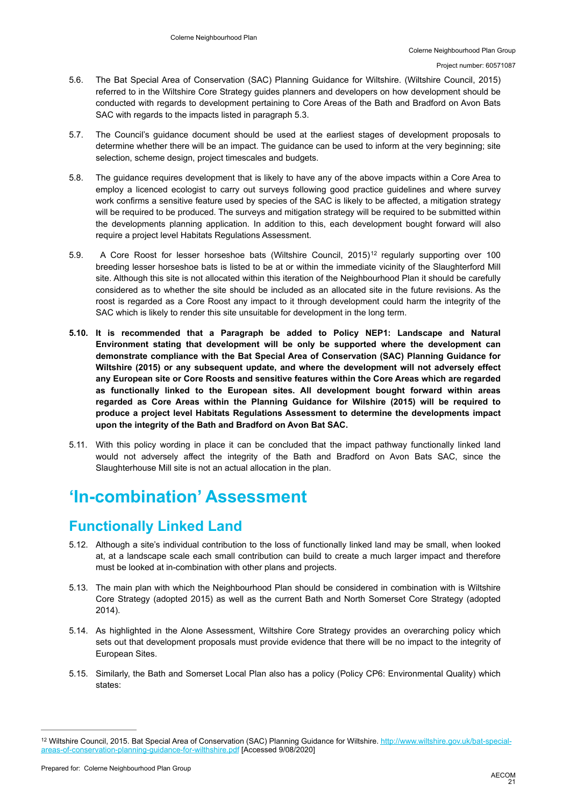- 5.6. The Bat Special Area of Conservation (SAC) Planning Guidance for Wiltshire. (Wiltshire Council, 2015) referred to in the Wiltshire Core Strategy guides planners and developers on how development should be conducted with regards to development pertaining to Core Areas of the Bath and Bradford on Avon Bats SAC with regards to the impacts listed in paragraph 5.3.
- 5.7. The Council's guidance document should be used at the earliest stages of development proposals to determine whether there will be an impact. The guidance can be used to inform at the very beginning; site selection, scheme design, project timescales and budgets.
- 5.8. The guidance requires development that is likely to have any of the above impacts within a Core Area to employ a licenced ecologist to carry out surveys following good practice guidelines and where survey work confirms a sensitive feature used by species of the SAC is likely to be affected, a mitigation strategy will be required to be produced. The surveys and mitigation strategy will be required to be submitted within the developments planning application. In addition to this, each development bought forward will also require a project level Habitats Regulations Assessment.
- <span id="page-20-3"></span>5.9.A Core Roost for lesser horseshoe bats (Wiltshire Council, 2015)<sup>[12](#page-20-2)</sup> regularly supporting over 100 breeding lesser horseshoe bats is listed to be at or within the immediate vicinity of the Slaughterford Mill site. Although this site is not allocated within this iteration of the Neighbourhood Plan it should be carefully considered as to whether the site should be included as an allocated site in the future revisions. As the roost is regarded as a Core Roost any impact to it through development could harm the integrity of the SAC which is likely to render this site unsuitable for development in the long term.
- **5.10. It is recommended that a Paragraph be added to Policy NEP1: Landscape and Natural Environment stating that development will be only be supported where the development can demonstrate compliance with the Bat Special Area of Conservation (SAC) Planning Guidance for Wiltshire (2015) or any subsequent update, and where the development will not adversely effect any European site or Core Roosts and sensitive features within the Core Areas which are regarded as functionally linked to the European sites. All development bought forward within areas regarded as Core Areas within the Planning Guidance for Wilshire (2015) will be required to produce a project level Habitats Regulations Assessment to determine the developments impact upon the integrity of the Bath and Bradford on Avon Bat SAC.**
- 5.11. With this policy wording in place it can be concluded that the impact pathway functionally linked land would not adversely affect the integrity of the Bath and Bradford on Avon Bats SAC, since the Slaughterhouse Mill site is not an actual allocation in the plan.

# <span id="page-20-0"></span>**'In-combination' Assessment**

### <span id="page-20-1"></span>**Functionally Linked Land**

- 5.12. Although a site's individual contribution to the loss of functionally linked land may be small, when looked at, at a landscape scale each small contribution can build to create a much larger impact and therefore must be looked at in-combination with other plans and projects.
- 5.13. The main plan with which the Neighbourhood Plan should be considered in combination with is Wiltshire Core Strategy (adopted 2015) as well as the current Bath and North Somerset Core Strategy (adopted 2014).
- 5.14. As highlighted in the Alone Assessment, Wiltshire Core Strategy provides an overarching policy which sets out that development proposals must provide evidence that there will be no impact to the integrity of European Sites.
- 5.15. Similarly, the Bath and Somerset Local Plan also has a policy (Policy CP6: Environmental Quality) which states:

<span id="page-20-2"></span><sup>&</sup>lt;sup>12</sup> Wiltshire Council, 2015. Bat Special Area of Conservation (SAC) Planning Guidance for Wiltshire. [http://www.wiltshire.gov.uk/bat-special](http://www.wiltshire.gov.uk/bat-special-areas-of-conservation-planning-guidance-for-wilthshire.pdf) [areas-of-conservation-planning-guidance-for-wilthshire.pdf](http://www.wiltshire.gov.uk/bat-special-areas-of-conservation-planning-guidance-for-wilthshire.pdf) [Accessed 9/08/2020]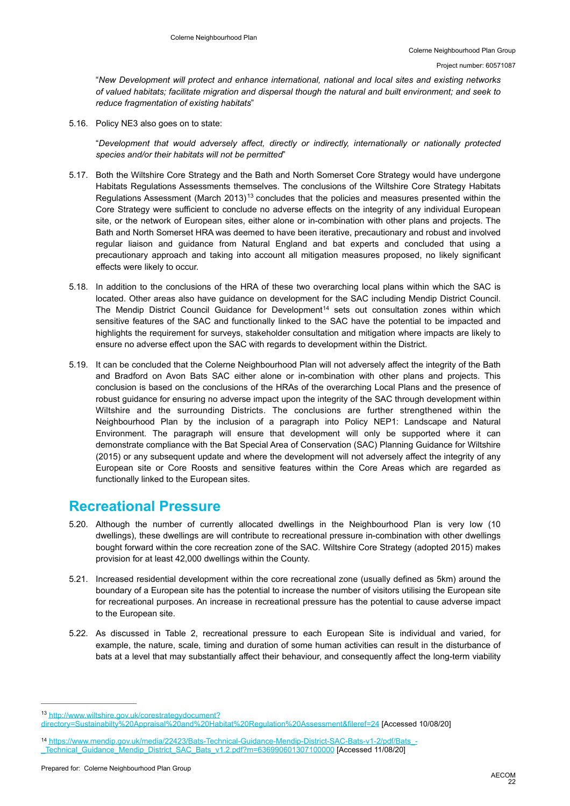"*New Development will protect and enhance international, national and local sites and existing networks of valued habitats; facilitate migration and dispersal though the natural and built environment; and seek to reduce fragmentation of existing habitats*"

5.16. Policy NE3 also goes on to state:

<span id="page-21-3"></span>"*Development that would adversely affect, directly or indirectly, internationally or nationally protected species and/or their habitats will not be permitted*"

- 5.17. Both the Wiltshire Core Strategy and the Bath and North Somerset Core Strategy would have undergone Habitats Regulations Assessments themselves. The conclusions of the Wiltshire Core Strategy Habitats RegulationsAssessment (March 20[13](#page-21-1))<sup>13</sup> concludes that the policies and measures presented within the Core Strategy were sufficient to conclude no adverse effects on the integrity of any individual European site, or the network of European sites, either alone or in-combination with other plans and projects. The Bath and North Somerset HRA was deemed to have been iterative, precautionary and robust and involved regular liaison and guidance from Natural England and bat experts and concluded that using a precautionary approach and taking into account all mitigation measures proposed, no likely significant effects were likely to occur.
- <span id="page-21-4"></span>5.18. In addition to the conclusions of the HRA of these two overarching local plans within which the SAC is located. Other areas also have guidance on development for the SAC including Mendip District Council. TheMendip District Council Guidance for Development<sup>[14](#page-21-2)</sup> sets out consultation zones within which sensitive features of the SAC and functionally linked to the SAC have the potential to be impacted and highlights the requirement for surveys, stakeholder consultation and mitigation where impacts are likely to ensure no adverse effect upon the SAC with regards to development within the District.
- 5.19. It can be concluded that the Colerne Neighbourhood Plan will not adversely affect the integrity of the Bath and Bradford on Avon Bats SAC either alone or in-combination with other plans and projects. This conclusion is based on the conclusions of the HRAs of the overarching Local Plans and the presence of robust guidance for ensuring no adverse impact upon the integrity of the SAC through development within Wiltshire and the surrounding Districts. The conclusions are further strengthened within the Neighbourhood Plan by the inclusion of a paragraph into Policy NEP1: Landscape and Natural Environment. The paragraph will ensure that development will only be supported where it can demonstrate compliance with the Bat Special Area of Conservation (SAC) Planning Guidance for Wiltshire (2015) or any subsequent update and where the development will not adversely affect the integrity of any European site or Core Roosts and sensitive features within the Core Areas which are regarded as functionally linked to the European sites.

### <span id="page-21-0"></span>**Recreational Pressure**

- 5.20. Although the number of currently allocated dwellings in the Neighbourhood Plan is very low (10 dwellings), these dwellings are will contribute to recreational pressure in-combination with other dwellings bought forward within the core recreation zone of the SAC. Wiltshire Core Strategy (adopted 2015) makes provision for at least 42,000 dwellings within the County.
- 5.21. Increased residential development within the core recreational zone (usually defined as 5km) around the boundary of a European site has the potential to increase the number of visitors utilising the European site for recreational purposes. An increase in recreational pressure has the potential to cause adverse impact to the European site.
- 5.22. As discussed in Table 2, recreational pressure to each European Site is individual and varied, for example, the nature, scale, timing and duration of some human activities can result in the disturbance of bats at a level that may substantially affect their behaviour, and consequently affect the long-term viability

<span id="page-21-1"></span><sup>13</sup> [http://www.wiltshire.gov.uk/corestrategydocument?](http://www.wiltshire.gov.uk/corestrategydocument?directory=Sustainabilty%2520Appraisal%2520and%2520Habitat%2520Regulation%2520Assessment&fileref=24)

[directory=Sustainabilty%20Appraisal%20and%20Habitat%20Regulation%20Assessment&fileref=24](http://www.wiltshire.gov.uk/corestrategydocument?directory=Sustainabilty%2520Appraisal%2520and%2520Habitat%2520Regulation%2520Assessment&fileref=24) [Accessed 10/08/20]

<span id="page-21-2"></span>[<sup>14</sup>](#page-21-4) https://www.mendip.gov.uk/media/22423/Bats-Technical-Guidance-Mendip-District-SAC-Bats-v1-2/pdf/Bats -Technical\_Guidance\_Mendip\_District\_SAC\_Bats\_v1.2.pdf?m=636990601307100000 [Accessed 11/08/20]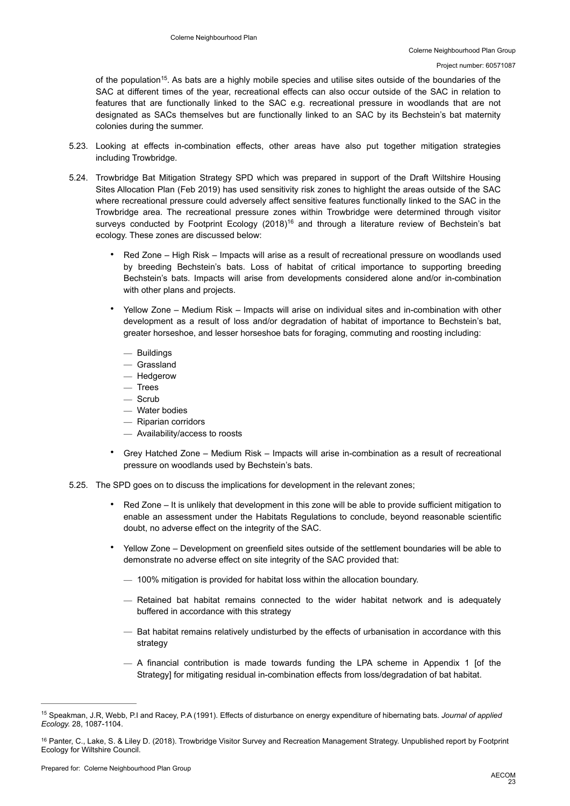<span id="page-22-2"></span>of the population<sup>15</sup>[.](#page-22-0) As bats are a highly mobile species and utilise sites outside of the boundaries of the SAC at different times of the year, recreational effects can also occur outside of the SAC in relation to features that are functionally linked to the SAC e.g. recreational pressure in woodlands that are not designated as SACs themselves but are functionally linked to an SAC by its Bechstein's bat maternity colonies during the summer.

- 5.23. Looking at effects in-combination effects, other areas have also put together mitigation strategies including Trowbridge.
- <span id="page-22-3"></span>5.24. Trowbridge Bat Mitigation Strategy SPD which was prepared in support of the Draft Wiltshire Housing Sites Allocation Plan (Feb 2019) has used sensitivity risk zones to highlight the areas outside of the SAC where recreational pressure could adversely affect sensitive features functionally linked to the SAC in the Trowbridge area. The recreational pressure zones within Trowbridge were determined through visitor surveysconducted by Footprint Ecology (2018)<sup>[16](#page-22-1)</sup> and through a literature review of Bechstein's bat ecology. These zones are discussed below:
	- Red Zone High Risk Impacts will arise as a result of recreational pressure on woodlands used by breeding Bechstein's bats. Loss of habitat of critical importance to supporting breeding Bechstein's bats. Impacts will arise from developments considered alone and/or in-combination with other plans and projects.
	- Yellow Zone Medium Risk Impacts will arise on individual sites and in-combination with other development as a result of loss and/or degradation of habitat of importance to Bechstein's bat, greater horseshoe, and lesser horseshoe bats for foraging, commuting and roosting including:
		- ─ Buildings
		- ─ Grassland
		- ─ Hedgerow
		- ─ Trees
		- ─ Scrub
		- ─ Water bodies
		- ─ Riparian corridors
		- ─ Availability/access to roosts
	- Grey Hatched Zone Medium Risk Impacts will arise in-combination as a result of recreational pressure on woodlands used by Bechstein's bats.
- 5.25. The SPD goes on to discuss the implications for development in the relevant zones;
	- Red Zone It is unlikely that development in this zone will be able to provide sufficient mitigation to enable an assessment under the Habitats Regulations to conclude, beyond reasonable scientific doubt, no adverse effect on the integrity of the SAC.
	- Yellow Zone Development on greenfield sites outside of the settlement boundaries will be able to demonstrate no adverse effect on site integrity of the SAC provided that:
		- $-$  100% mitigation is provided for habitat loss within the allocation boundary.
		- $-$  Retained bat habitat remains connected to the wider habitat network and is adequately buffered in accordance with this strategy
		- ─ Bat habitat remains relatively undisturbed by the effects of urbanisation in accordance with this strategy
		- $-$  A financial contribution is made towards funding the LPA scheme in Appendix 1 [of the Strategy] for mitigating residual in-combination effects from loss/degradation of bat habitat.

<span id="page-22-0"></span><sup>&</sup>lt;sup>[15](#page-22-2)</sup> Speakman, J.R, Webb, P.I and Racey, P.A (1991). Effects of disturbance on energy expenditure of hibernating bats. *Journal of applied Ecology.* 28, 1087-1104.

<span id="page-22-1"></span>[<sup>16</sup>](#page-22-3) Panter, C., Lake, S. & Liley D. (2018). Trowbridge Visitor Survey and Recreation Management Strategy. Unpublished report by Footprint Ecology for Wiltshire Council.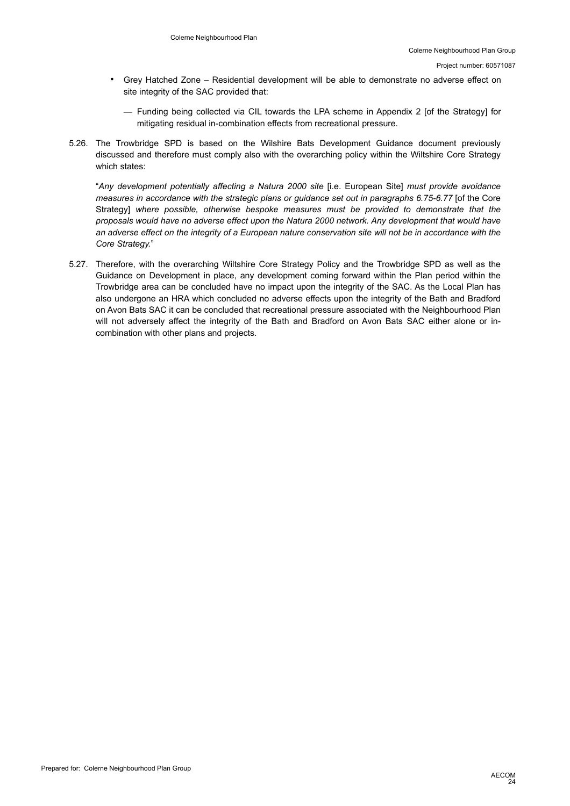- Grey Hatched Zone Residential development will be able to demonstrate no adverse effect on site integrity of the SAC provided that:
	- ─ Funding being collected via CIL towards the LPA scheme in Appendix 2 [of the Strategy] for mitigating residual in-combination effects from recreational pressure.
- 5.26. The Trowbridge SPD is based on the Wilshire Bats Development Guidance document previously discussed and therefore must comply also with the overarching policy within the Wiltshire Core Strategy which states:

"*Any development potentially affecting a Natura 2000 site* [i.e. European Site] *must provide avoidance measures in accordance with the strategic plans or guidance set out in paragraphs 6.75-6.77* [of the Core Strategy] *where possible, otherwise bespoke measures must be provided to demonstrate that the proposals would have no adverse effect upon the Natura 2000 network. Any development that would have an adverse effect on the integrity of a European nature conservation site will not be in accordance with the Core Strategy.*"

5.27. Therefore, with the overarching Wiltshire Core Strategy Policy and the Trowbridge SPD as well as the Guidance on Development in place, any development coming forward within the Plan period within the Trowbridge area can be concluded have no impact upon the integrity of the SAC. As the Local Plan has also undergone an HRA which concluded no adverse effects upon the integrity of the Bath and Bradford on Avon Bats SAC it can be concluded that recreational pressure associated with the Neighbourhood Plan will not adversely affect the integrity of the Bath and Bradford on Avon Bats SAC either alone or incombination with other plans and projects.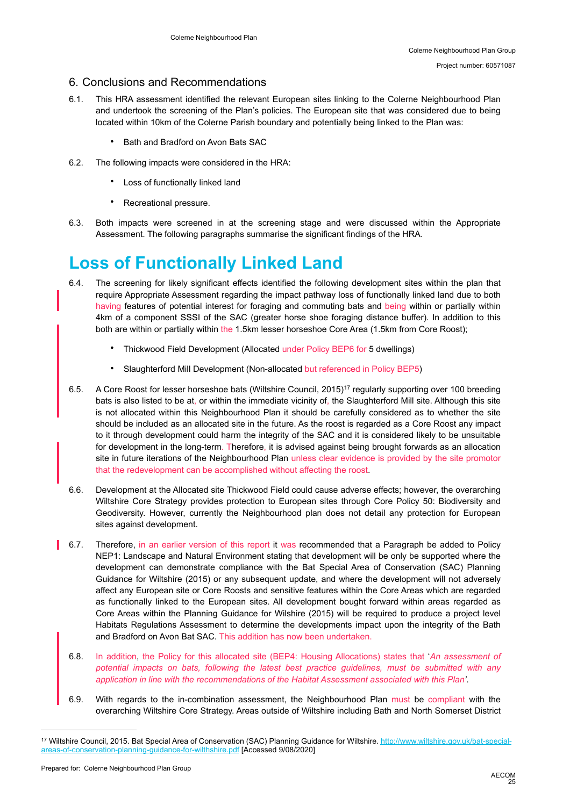#### <span id="page-24-0"></span>6. Conclusions and Recommendations

- 6.1. This HRA assessment identified the relevant European sites linking to the Colerne Neighbourhood Plan and undertook the screening of the Plan's policies. The European site that was considered due to being located within 10km of the Colerne Parish boundary and potentially being linked to the Plan was:
	- Bath and Bradford on Avon Bats SAC
- 6.2. The following impacts were considered in the HRA:
	- Loss of functionally linked land
	- Recreational pressure.
- 6.3. Both impacts were screened in at the screening stage and were discussed within the Appropriate Assessment. The following paragraphs summarise the significant findings of the HRA.

# <span id="page-24-1"></span>**Loss of Functionally Linked Land**

- 6.4. The screening for likely significant effects identified the following development sites within the plan that require Appropriate Assessment regarding the impact pathway loss of functionally linked land due to both having features of potential interest for foraging and commuting bats and being within or partially within 4km of a component SSSI of the SAC (greater horse shoe foraging distance buffer). In addition to this both are within or partially within the 1.5km lesser horseshoe Core Area (1.5km from Core Roost);
	- Thickwood Field Development (Allocated under Policy BEP6 for 5 dwellings)
	- Slaughterford Mill Development (Non-allocated but referenced in Policy BEP5)
- <span id="page-24-3"></span>6.5.A Core Roost for lesser horseshoe bats (Wiltshire Council, 2015)<sup>[17](#page-24-2)</sup> regularly supporting over 100 breeding bats is also listed to be at, or within the immediate vicinity of, the Slaughterford Mill site. Although this site is not allocated within this Neighbourhood Plan it should be carefully considered as to whether the site should be included as an allocated site in the future. As the roost is regarded as a Core Roost any impact to it through development could harm the integrity of the SAC and it is considered likely to be unsuitable for development in the long-term. Therefore, it is advised against being brought forwards as an allocation site in future iterations of the Neighbourhood Plan unless clear evidence is provided by the site promotor that the redevelopment can be accomplished without affecting the roost.
- 6.6. Development at the Allocated site Thickwood Field could cause adverse effects; however, the overarching Wiltshire Core Strategy provides protection to European sites through Core Policy 50: Biodiversity and Geodiversity. However, currently the Neighbourhood plan does not detail any protection for European sites against development.
- 6.7. Therefore, in an earlier version of this report it was recommended that a Paragraph be added to Policy NEP1: Landscape and Natural Environment stating that development will be only be supported where the development can demonstrate compliance with the Bat Special Area of Conservation (SAC) Planning Guidance for Wiltshire (2015) or any subsequent update, and where the development will not adversely affect any European site or Core Roosts and sensitive features within the Core Areas which are regarded as functionally linked to the European sites. All development bought forward within areas regarded as Core Areas within the Planning Guidance for Wilshire (2015) will be required to produce a project level Habitats Regulations Assessment to determine the developments impact upon the integrity of the Bath and Bradford on Avon Bat SAC. This addition has now been undertaken.
	- 6.8. In addition, the Policy for this allocated site (BEP4: Housing Allocations) states that '*An assessment of potential impacts on bats, following the latest best practice guidelines, must be submitted with any application in line with the recommendations of the Habitat Assessment associated with this Plan'*.
	- 6.9. With regards to the in-combination assessment, the Neighbourhood Plan must be compliant with the overarching Wiltshire Core Strategy. Areas outside of Wiltshire including Bath and North Somerset District

<span id="page-24-2"></span><sup>&</sup>lt;sup>17</sup> Wiltshire Council, 2015. Bat Special Area of Conservation (SAC) Planning Guidance for Wiltshire. [http://www.wiltshire.gov.uk/bat-special](http://www.wiltshire.gov.uk/bat-special-areas-of-conservation-planning-guidance-for-wilthshire.pdf) [areas-of-conservation-planning-guidance-for-wilthshire.pdf](http://www.wiltshire.gov.uk/bat-special-areas-of-conservation-planning-guidance-for-wilthshire.pdf) [Accessed 9/08/2020]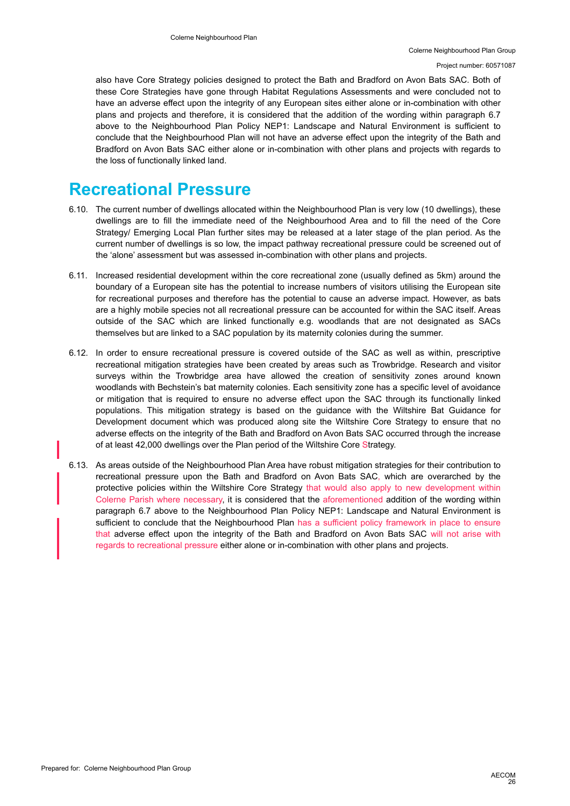also have Core Strategy policies designed to protect the Bath and Bradford on Avon Bats SAC. Both of these Core Strategies have gone through Habitat Regulations Assessments and were concluded not to have an adverse effect upon the integrity of any European sites either alone or in-combination with other plans and projects and therefore, it is considered that the addition of the wording within paragraph 6.7 above to the Neighbourhood Plan Policy NEP1: Landscape and Natural Environment is sufficient to conclude that the Neighbourhood Plan will not have an adverse effect upon the integrity of the Bath and Bradford on Avon Bats SAC either alone or in-combination with other plans and projects with regards to the loss of functionally linked land.

### <span id="page-25-0"></span>**Recreational Pressure**

- 6.10. The current number of dwellings allocated within the Neighbourhood Plan is very low (10 dwellings), these dwellings are to fill the immediate need of the Neighbourhood Area and to fill the need of the Core Strategy/ Emerging Local Plan further sites may be released at a later stage of the plan period. As the current number of dwellings is so low, the impact pathway recreational pressure could be screened out of the 'alone' assessment but was assessed in-combination with other plans and projects.
- 6.11. Increased residential development within the core recreational zone (usually defined as 5km) around the boundary of a European site has the potential to increase numbers of visitors utilising the European site for recreational purposes and therefore has the potential to cause an adverse impact. However, as bats are a highly mobile species not all recreational pressure can be accounted for within the SAC itself. Areas outside of the SAC which are linked functionally e.g. woodlands that are not designated as SACs themselves but are linked to a SAC population by its maternity colonies during the summer.
- 6.12. In order to ensure recreational pressure is covered outside of the SAC as well as within, prescriptive recreational mitigation strategies have been created by areas such as Trowbridge. Research and visitor surveys within the Trowbridge area have allowed the creation of sensitivity zones around known woodlands with Bechstein's bat maternity colonies. Each sensitivity zone has a specific level of avoidance or mitigation that is required to ensure no adverse effect upon the SAC through its functionally linked populations. This mitigation strategy is based on the guidance with the Wiltshire Bat Guidance for Development document which was produced along site the Wiltshire Core Strategy to ensure that no adverse effects on the integrity of the Bath and Bradford on Avon Bats SAC occurred through the increase of at least 42,000 dwellings over the Plan period of the Wiltshire Core Strategy.
- 6.13. As areas outside of the Neighbourhood Plan Area have robust mitigation strategies for their contribution to recreational pressure upon the Bath and Bradford on Avon Bats SAC, which are overarched by the protective policies within the Wiltshire Core Strategy that would also apply to new development within Colerne Parish where necessary, it is considered that the aforementioned addition of the wording within paragraph 6.7 above to the Neighbourhood Plan Policy NEP1: Landscape and Natural Environment is sufficient to conclude that the Neighbourhood Plan has a sufficient policy framework in place to ensure that adverse effect upon the integrity of the Bath and Bradford on Avon Bats SAC will not arise with regards to recreational pressure either alone or in-combination with other plans and projects.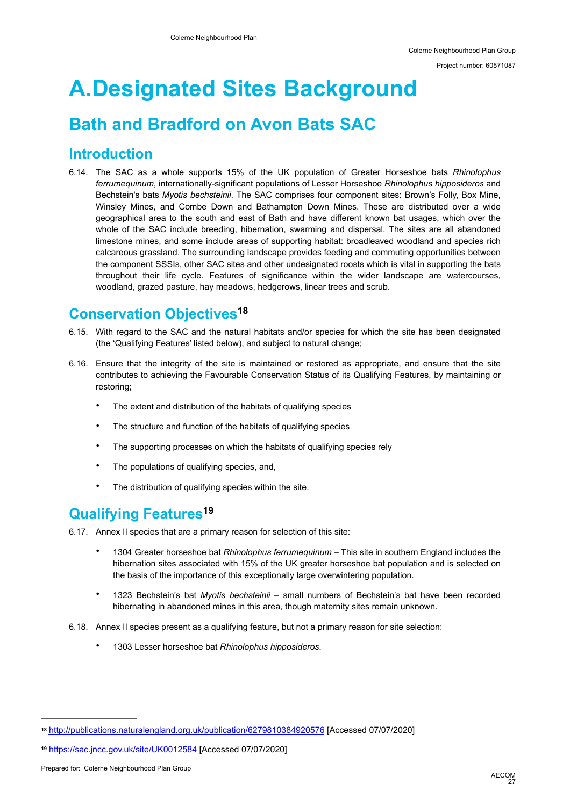# <span id="page-26-0"></span>**A.Designated Sites Background**

# <span id="page-26-1"></span>**Bath and Bradford on Avon Bats SAC**

### <span id="page-26-2"></span>**Introduction**

6.14. The SAC as a whole supports 15% of the UK population of Greater Horseshoe bats *Rhinolophus ferrumequinum*, internationally-significant populations of Lesser Horseshoe *Rhinolophus hipposideros* and Bechstein's bats *Myotis bechsteinii*. The SAC comprises four component sites: Brown's Folly, Box Mine, Winsley Mines, and Combe Down and Bathampton Down Mines. These are distributed over a wide geographical area to the south and east of Bath and have different known bat usages, which over the whole of the SAC include breeding, hibernation, swarming and dispersal. The sites are all abandoned limestone mines, and some include areas of supporting habitat: broadleaved woodland and species rich calcareous grassland. The surrounding landscape provides feeding and commuting opportunities between the component SSSIs, other SAC sites and other undesignated roosts which is vital in supporting the bats throughout their life cycle. Features of significance within the wider landscape are watercourses, woodland, grazed pasture, hay meadows, hedgerows, linear trees and scrub.

### <span id="page-26-7"></span><span id="page-26-3"></span>**Conservation Objectives[18](#page-26-5)**

- 6.15. With regard to the SAC and the natural habitats and/or species for which the site has been designated (the 'Qualifying Features' listed below), and subject to natural change;
- 6.16. Ensure that the integrity of the site is maintained or restored as appropriate, and ensure that the site contributes to achieving the Favourable Conservation Status of its Qualifying Features, by maintaining or restoring;
	- The extent and distribution of the habitats of qualifying species
	- The structure and function of the habitats of qualifying species
	- The supporting processes on which the habitats of qualifying species rely
	- The populations of qualifying species, and,
	- The distribution of qualifying species within the site.

### <span id="page-26-8"></span><span id="page-26-4"></span>**Qualifying Feature[s19](#page-26-6)**

- 6.17. Annex II species that are a primary reason for selection of this site:
	- 1304 Greater horseshoe bat *Rhinolophus ferrumequinum* This site in southern England includes the hibernation sites associated with 15% of the UK greater horseshoe bat population and is selected on the basis of the importance of this exceptionally large overwintering population.
	- 1323 Bechstein's bat *Myotis bechsteinii* small numbers of Bechstein's bat have been recorded hibernating in abandoned mines in this area, though maternity sites remain unknown.
- 6.18. Annex II species present as a qualifying feature, but not a primary reason for site selection:
	- 1303 Lesser horseshoe bat *Rhinolophus hipposideros*.

<span id="page-26-5"></span><http://publications.naturalengland.org.uk/publication/6279810384920576> [Accessed 07/07/2020] **[18](#page-26-7)**

<span id="page-26-6"></span><https://sac.jncc.gov.uk/site/UK0012584> [Accessed 07/07/2020] **[19](#page-26-8)**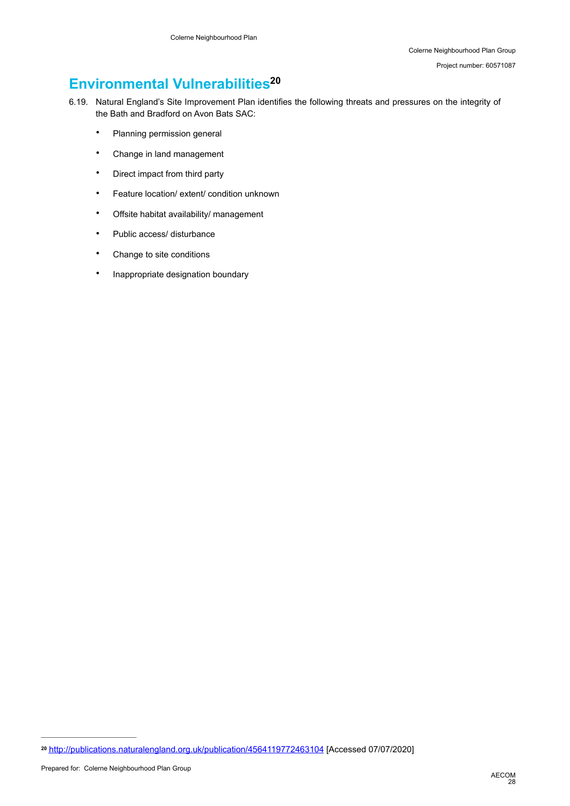### <span id="page-27-2"></span><span id="page-27-0"></span>**Environmental Vulnerabilities<sup>20</sup>**

- 6.19. Natural England's Site Improvement Plan identifies the following threats and pressures on the integrity of the Bath and Bradford on Avon Bats SAC:
	- Planning permission general
	- Change in land management
	- Direct impact from third party
	- Feature location/ extent/ condition unknown
	- Offsite habitat availability/ management
	- Public access/ disturbance
	- Change to site conditions
	- Inappropriate designation boundary

<span id="page-27-1"></span><http://publications.naturalengland.org.uk/publication/4564119772463104> [Accessed 07/07/2020] **[20](#page-27-2)**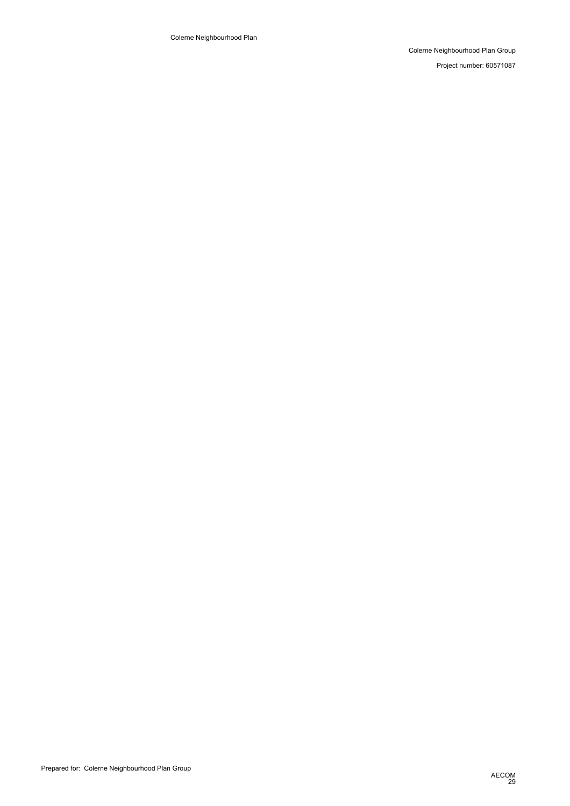Colerne Neighbourhood Plan Group Project number: 60571087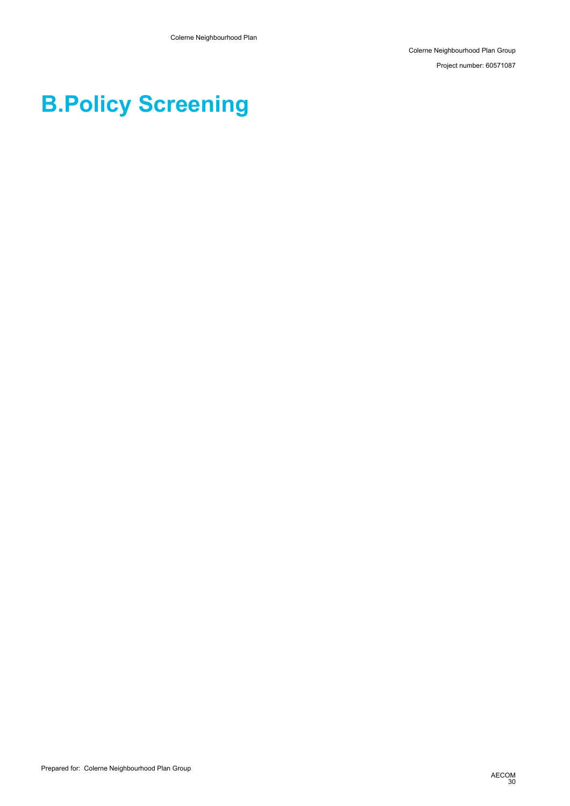Colerne Neighbourhood Plan Group Project number: 60571087

# <span id="page-29-0"></span>**B.Policy Screening**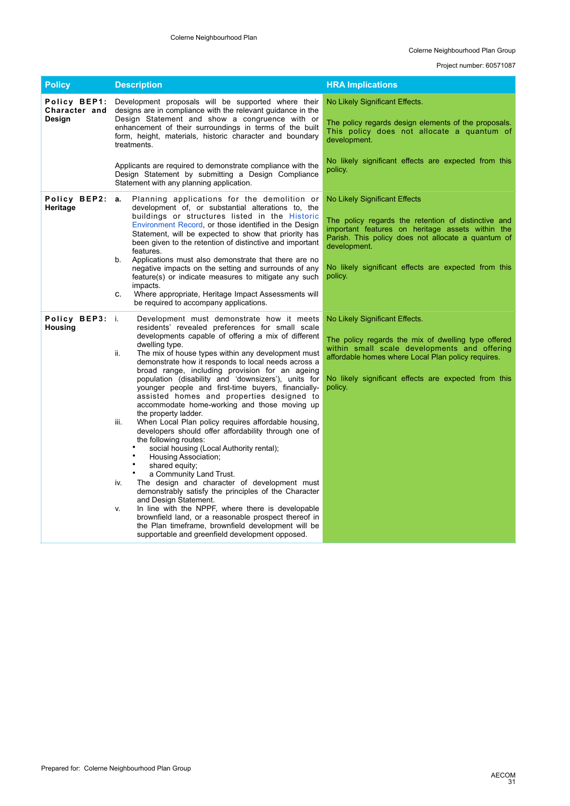| <b>Policy</b>                           | <b>Description</b>                                                                                                                                                                                                                                                                                                                                                                                                                                                                                                                                                                                                                                                                                                                                                                                                                                                                                                                                                                                                                                                                                                                                                                                                 | <b>HRA Implications</b>                                                                                                                                                                                                                                                           |
|-----------------------------------------|--------------------------------------------------------------------------------------------------------------------------------------------------------------------------------------------------------------------------------------------------------------------------------------------------------------------------------------------------------------------------------------------------------------------------------------------------------------------------------------------------------------------------------------------------------------------------------------------------------------------------------------------------------------------------------------------------------------------------------------------------------------------------------------------------------------------------------------------------------------------------------------------------------------------------------------------------------------------------------------------------------------------------------------------------------------------------------------------------------------------------------------------------------------------------------------------------------------------|-----------------------------------------------------------------------------------------------------------------------------------------------------------------------------------------------------------------------------------------------------------------------------------|
| Policy BEP1:<br>Character and<br>Design | Development proposals will be supported where their<br>designs are in compliance with the relevant quidance in the<br>Design Statement and show a congruence with or<br>enhancement of their surroundings in terms of the built<br>form, height, materials, historic character and boundary<br>treatments.<br>Applicants are required to demonstrate compliance with the<br>Design Statement by submitting a Design Compliance<br>Statement with any planning application.                                                                                                                                                                                                                                                                                                                                                                                                                                                                                                                                                                                                                                                                                                                                         | No Likely Significant Effects.<br>The policy regards design elements of the proposals.<br>This policy does not allocate a quantum of<br>development.<br>No likely significant effects are expected from this<br>policy.                                                           |
| Policy BEP2:<br>Heritage                | Planning applications for the demolition or<br>а.<br>development of, or substantial alterations to, the<br>buildings or structures listed in the Historic<br>Environment Record, or those identified in the Design<br>Statement, will be expected to show that priority has<br>been given to the retention of distinctive and important<br>features.<br>Applications must also demonstrate that there are no<br>b.<br>negative impacts on the setting and surrounds of any<br>feature(s) or indicate measures to mitigate any such<br>impacts.<br>Where appropriate, Heritage Impact Assessments will<br>c.<br>be required to accompany applications.                                                                                                                                                                                                                                                                                                                                                                                                                                                                                                                                                              | No Likely Significant Effects<br>The policy regards the retention of distinctive and<br>important features on heritage assets within the<br>Parish. This policy does not allocate a quantum of<br>development.<br>No likely significant effects are expected from this<br>policy. |
| Policy BEP3: i.<br>Housing              | Development must demonstrate how it meets<br>residents' revealed preferences for small scale<br>developments capable of offering a mix of different<br>dwelling type.<br>ii.<br>The mix of house types within any development must<br>demonstrate how it responds to local needs across a<br>broad range, including provision for an ageing<br>population (disability and 'downsizers'), units for<br>younger people and first-time buyers, financially-<br>assisted homes and properties designed to<br>accommodate home-working and those moving up<br>the property ladder.<br>iii.<br>When Local Plan policy requires affordable housing,<br>developers should offer affordability through one of<br>the following routes:<br>social housing (Local Authority rental);<br>Housing Association;<br>shared equity;<br>a Community Land Trust.<br>The design and character of development must<br>İV.<br>demonstrably satisfy the principles of the Character<br>and Design Statement.<br>In line with the NPPF, where there is developable<br>V.<br>brownfield land, or a reasonable prospect thereof in<br>the Plan timeframe, brownfield development will be<br>supportable and greenfield development opposed. | No Likely Significant Effects.<br>The policy regards the mix of dwelling type offered<br>within small scale developments and offering<br>affordable homes where Local Plan policy requires.<br>No likely significant effects are expected from this<br>policy.                    |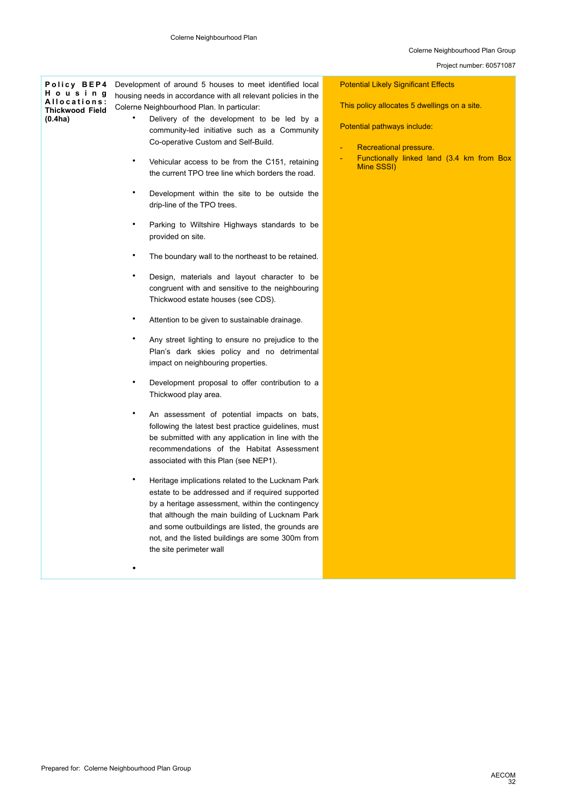#### Colerne Neighbourhood Plan Group

| Policy BEP4             | Development of around 5 houses to meet identified local       | <b>Potential Likely Significant Effects</b>  |
|-------------------------|---------------------------------------------------------------|----------------------------------------------|
| Housing<br>Allocations: | housing needs in accordance with all relevant policies in the |                                              |
| Thickwood Field         | Colerne Neighbourhood Plan. In particular:                    | This policy allocates 5 dwellings on a site. |
| (0.4ha)                 | $\bullet$<br>Delivery of the development to be led by a       | Potential pathways include:                  |
|                         | community-led initiative such as a Community                  |                                              |
|                         | Co-operative Custom and Self-Build.                           | Recreational pressure.                       |
|                         |                                                               | Functionally linked land (3.4 km from Box    |
|                         | ٠<br>Vehicular access to be from the C151, retaining          | Mine SSSI)                                   |
|                         | the current TPO tree line which borders the road.             |                                              |
|                         | $\bullet$<br>Development within the site to be outside the    |                                              |
|                         | drip-line of the TPO trees.                                   |                                              |
|                         |                                                               |                                              |
|                         | $\bullet$<br>Parking to Wiltshire Highways standards to be    |                                              |
|                         | provided on site.                                             |                                              |
|                         |                                                               |                                              |
|                         | The boundary wall to the northeast to be retained.            |                                              |
|                         | Design, materials and layout character to be<br>٠             |                                              |
|                         | congruent with and sensitive to the neighbouring              |                                              |
|                         | Thickwood estate houses (see CDS).                            |                                              |
|                         |                                                               |                                              |
|                         | ٠<br>Attention to be given to sustainable drainage.           |                                              |
|                         |                                                               |                                              |
|                         | ٠<br>Any street lighting to ensure no prejudice to the        |                                              |
|                         | Plan's dark skies policy and no detrimental                   |                                              |
|                         | impact on neighbouring properties.                            |                                              |
|                         | $\bullet$<br>Development proposal to offer contribution to a  |                                              |
|                         | Thickwood play area.                                          |                                              |
|                         |                                                               |                                              |
|                         | ٠<br>An assessment of potential impacts on bats,              |                                              |
|                         | following the latest best practice guidelines, must           |                                              |
|                         | be submitted with any application in line with the            |                                              |
|                         | recommendations of the Habitat Assessment                     |                                              |
|                         | associated with this Plan (see NEP1).                         |                                              |
|                         |                                                               |                                              |
|                         | ٠<br>Heritage implications related to the Lucknam Park        |                                              |
|                         | estate to be addressed and if required supported              |                                              |
|                         | by a heritage assessment, within the contingency              |                                              |
|                         | that although the main building of Lucknam Park               |                                              |
|                         | and some outbuildings are listed, the grounds are             |                                              |
|                         | not, and the listed buildings are some 300m from              |                                              |
|                         | the site perimeter wall                                       |                                              |
|                         | ٠                                                             |                                              |
|                         |                                                               |                                              |
|                         |                                                               |                                              |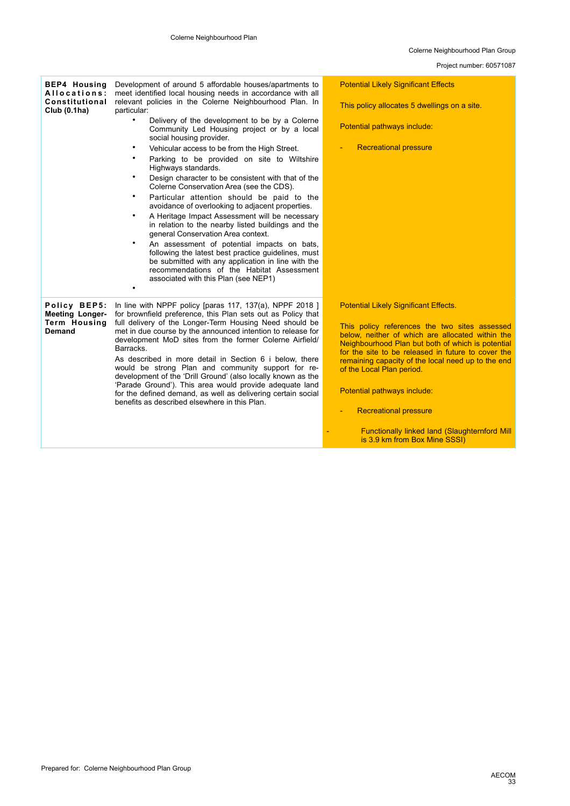#### Colerne Neighbourhood Plan Group

| <b>BEP4 Housing</b><br>Allocations:<br>Constitutional<br>Club (0.1ha)   | Development of around 5 affordable houses/apartments to<br>meet identified local housing needs in accordance with all<br>relevant policies in the Colerne Neighbourhood Plan. In<br>particular:<br>Delivery of the development to be by a Colerne<br>Community Led Housing project or by a local<br>social housing provider.<br>Vehicular access to be from the High Street.<br>$\bullet$<br>$\bullet$<br>Parking to be provided on site to Wiltshire<br>Highways standards.<br>٠<br>Design character to be consistent with that of the<br>Colerne Conservation Area (see the CDS).<br>$\bullet$<br>Particular attention should be paid to the<br>avoidance of overlooking to adjacent properties.<br>$\bullet$<br>A Heritage Impact Assessment will be necessary<br>in relation to the nearby listed buildings and the<br>general Conservation Area context.<br>An assessment of potential impacts on bats,<br>$\bullet$<br>following the latest best practice guidelines, must<br>be submitted with any application in line with the<br>recommendations of the Habitat Assessment<br>associated with this Plan (see NEP1) | <b>Potential Likely Significant Effects</b><br>This policy allocates 5 dwellings on a site.<br>Potential pathways include:<br><b>Recreational pressure</b>                                                                                                                                                                                                                                                                                                                                              |
|-------------------------------------------------------------------------|-----------------------------------------------------------------------------------------------------------------------------------------------------------------------------------------------------------------------------------------------------------------------------------------------------------------------------------------------------------------------------------------------------------------------------------------------------------------------------------------------------------------------------------------------------------------------------------------------------------------------------------------------------------------------------------------------------------------------------------------------------------------------------------------------------------------------------------------------------------------------------------------------------------------------------------------------------------------------------------------------------------------------------------------------------------------------------------------------------------------------------|---------------------------------------------------------------------------------------------------------------------------------------------------------------------------------------------------------------------------------------------------------------------------------------------------------------------------------------------------------------------------------------------------------------------------------------------------------------------------------------------------------|
| Policy BEP5:<br><b>Meeting Longer-</b><br><b>Term Housing</b><br>Demand | In line with NPPF policy [paras 117, 137(a), NPPF 2018 ]<br>for brownfield preference, this Plan sets out as Policy that<br>full delivery of the Longer-Term Housing Need should be<br>met in due course by the announced intention to release for<br>development MoD sites from the former Colerne Airfield/<br>Barracks.<br>As described in more detail in Section 6 i below, there<br>would be strong Plan and community support for re-<br>development of the 'Drill Ground' (also locally known as the<br>'Parade Ground'). This area would provide adequate land<br>for the defined demand, as well as delivering certain social<br>benefits as described elsewhere in this Plan.                                                                                                                                                                                                                                                                                                                                                                                                                                     | <b>Potential Likely Significant Effects.</b><br>This policy references the two sites assessed<br>below, neither of which are allocated within the<br>Neighbourhood Plan but both of which is potential<br>for the site to be released in future to cover the<br>remaining capacity of the local need up to the end<br>of the Local Plan period.<br>Potential pathways include:<br><b>Recreational pressure</b><br><b>Functionally linked land (Slaughternford Mill</b><br>is 3.9 km from Box Mine SSSI) |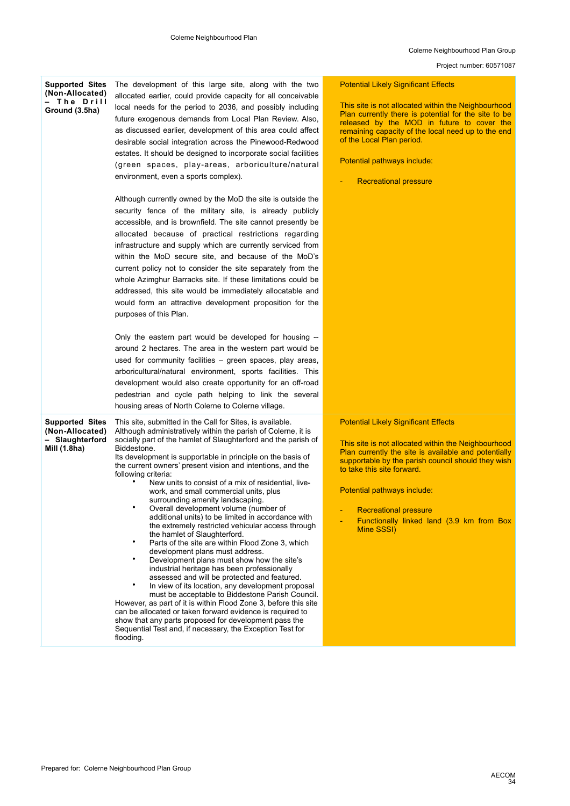| <b>Supported Sites</b><br>(Non-Allocated)<br>The Drill<br>Ground (3.5ha)     | The development of this large site, along with the two<br>allocated earlier, could provide capacity for all conceivable<br>local needs for the period to 2036, and possibly including<br>future exogenous demands from Local Plan Review. Also,<br>as discussed earlier, development of this area could affect<br>desirable social integration across the Pinewood-Redwood<br>estates. It should be designed to incorporate social facilities<br>(green spaces, play-areas, arboriculture/natural<br>environment, even a sports complex).                                                                                                                                                                                                                                                                                                                                                                                                                                                                                                                                                                                                                                                                                                                                                                                          | <b>Potential Likely Significant Effects</b><br>This site is not allocated within the Neighbourhood<br>Plan currently there is potential for the site to be<br>released by the MOD in future to cover the<br>remaining capacity of the local need up to the end<br>of the Local Plan period.<br>Potential pathways include:<br><b>Recreational pressure</b>               |
|------------------------------------------------------------------------------|------------------------------------------------------------------------------------------------------------------------------------------------------------------------------------------------------------------------------------------------------------------------------------------------------------------------------------------------------------------------------------------------------------------------------------------------------------------------------------------------------------------------------------------------------------------------------------------------------------------------------------------------------------------------------------------------------------------------------------------------------------------------------------------------------------------------------------------------------------------------------------------------------------------------------------------------------------------------------------------------------------------------------------------------------------------------------------------------------------------------------------------------------------------------------------------------------------------------------------------------------------------------------------------------------------------------------------|--------------------------------------------------------------------------------------------------------------------------------------------------------------------------------------------------------------------------------------------------------------------------------------------------------------------------------------------------------------------------|
|                                                                              | Although currently owned by the MoD the site is outside the<br>security fence of the military site, is already publicly<br>accessible, and is brownfield. The site cannot presently be<br>allocated because of practical restrictions regarding<br>infrastructure and supply which are currently serviced from<br>within the MoD secure site, and because of the MoD's<br>current policy not to consider the site separately from the<br>whole Azimghur Barracks site. If these limitations could be<br>addressed, this site would be immediately allocatable and<br>would form an attractive development proposition for the<br>purposes of this Plan.                                                                                                                                                                                                                                                                                                                                                                                                                                                                                                                                                                                                                                                                            |                                                                                                                                                                                                                                                                                                                                                                          |
|                                                                              | Only the eastern part would be developed for housing --<br>around 2 hectares. The area in the western part would be<br>used for community facilities - green spaces, play areas,<br>arboricultural/natural environment, sports facilities. This<br>development would also create opportunity for an off-road<br>pedestrian and cycle path helping to link the several<br>housing areas of North Colerne to Colerne village.                                                                                                                                                                                                                                                                                                                                                                                                                                                                                                                                                                                                                                                                                                                                                                                                                                                                                                        |                                                                                                                                                                                                                                                                                                                                                                          |
| <b>Supported Sites</b><br>(Non-Allocated)<br>- Slaughterford<br>Mill (1.8ha) | This site, submitted in the Call for Sites, is available.<br>Although administratively within the parish of Colerne, it is<br>socially part of the hamlet of Slaughterford and the parish of<br>Biddestone.<br>Its development is supportable in principle on the basis of<br>the current owners' present vision and intentions, and the<br>following criteria:<br>New units to consist of a mix of residential, live-<br>work, and small commercial units, plus<br>surrounding amenity landscaping.<br>Overall development volume (number of<br>additional units) to be limited in accordance with<br>the extremely restricted vehicular access through<br>the hamlet of Slaughterford.<br>Parts of the site are within Flood Zone 3, which<br>development plans must address.<br>$\bullet$<br>Development plans must show how the site's<br>industrial heritage has been professionally<br>assessed and will be protected and featured.<br>$\bullet$<br>In view of its location, any development proposal<br>must be acceptable to Biddestone Parish Council.<br>However, as part of it is within Flood Zone 3, before this site<br>can be allocated or taken forward evidence is required to<br>show that any parts proposed for development pass the<br>Sequential Test and, if necessary, the Exception Test for<br>flooding. | <b>Potential Likely Significant Effects</b><br>This site is not allocated within the Neighbourhood<br>Plan currently the site is available and potentially<br>supportable by the parish council should they wish<br>to take this site forward.<br>Potential pathways include:<br><b>Recreational pressure</b><br>Functionally linked land (3.9 km from Box<br>Mine SSSI) |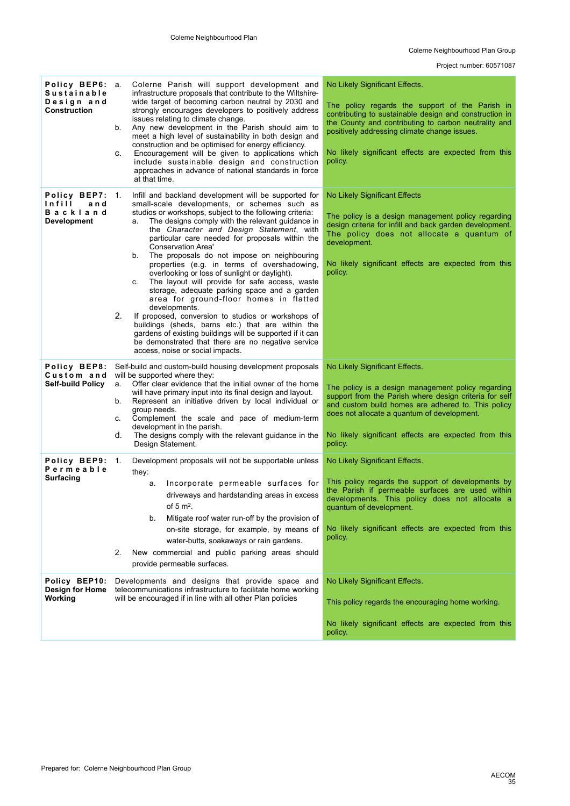| Policy BEP6: a.<br><b>Sustainable</b><br>Design and<br>Construction | Colerne Parish will support development and<br>infrastructure proposals that contribute to the Wiltshire-<br>wide target of becoming carbon neutral by 2030 and<br>strongly encourages developers to positively address<br>issues relating to climate change.<br>Any new development in the Parish should aim to<br>b.<br>meet a high level of sustainability in both design and<br>construction and be optimised for energy efficiency.<br>Encouragement will be given to applications which<br>c.<br>include sustainable design and construction<br>approaches in advance of national standards in force<br>at that time.                                                                                                                                                                                                                                                                                                                               | No Likely Significant Effects.<br>The policy regards the support of the Parish in<br>contributing to sustainable design and construction in<br>the County and contributing to carbon neutrality and<br>positively addressing climate change issues.<br>No likely significant effects are expected from this<br>policy. |
|---------------------------------------------------------------------|-----------------------------------------------------------------------------------------------------------------------------------------------------------------------------------------------------------------------------------------------------------------------------------------------------------------------------------------------------------------------------------------------------------------------------------------------------------------------------------------------------------------------------------------------------------------------------------------------------------------------------------------------------------------------------------------------------------------------------------------------------------------------------------------------------------------------------------------------------------------------------------------------------------------------------------------------------------|------------------------------------------------------------------------------------------------------------------------------------------------------------------------------------------------------------------------------------------------------------------------------------------------------------------------|
| Policy BEP7:<br>Infill<br>and<br>Backland<br><b>Development</b>     | Infill and backland development will be supported for<br>$-1.$<br>small-scale developments, or schemes such as<br>studios or workshops, subject to the following criteria:<br>The designs comply with the relevant guidance in<br>а.<br>the Character and Design Statement, with<br>particular care needed for proposals within the<br>Conservation Area'<br>The proposals do not impose on neighbouring<br>b.<br>properties (e.g. in terms of overshadowing,<br>overlooking or loss of sunlight or daylight).<br>The layout will provide for safe access, waste<br>C.<br>storage, adequate parking space and a garden<br>area for ground-floor homes in flatted<br>developments.<br>2.<br>If proposed, conversion to studios or workshops of<br>buildings (sheds, barns etc.) that are within the<br>gardens of existing buildings will be supported if it can<br>be demonstrated that there are no negative service<br>access, noise or social impacts. | No Likely Significant Effects<br>The policy is a design management policy regarding<br>design criteria for infill and back garden development.<br>The policy does not allocate a quantum of<br>development.<br>No likely significant effects are expected from this<br>policy.                                         |
| Policy BEP8:<br>Custom and<br><b>Self-build Policy</b>              | Self-build and custom-build housing development proposals<br>will be supported where they:<br>Offer clear evidence that the initial owner of the home<br>a.<br>will have primary input into its final design and layout.<br>Represent an initiative driven by local individual or<br>b.<br>group needs.<br>Complement the scale and pace of medium-term<br>c.<br>development in the parish.<br>The designs comply with the relevant guidance in the<br>d.<br>Design Statement.                                                                                                                                                                                                                                                                                                                                                                                                                                                                            | No Likely Significant Effects.<br>The policy is a design management policy regarding<br>support from the Parish where design criteria for self<br>and custom build homes are adhered to. This policy<br>does not allocate a quantum of development.<br>No likely significant effects are expected from this<br>policy. |
| Policy BEP9: 1.<br>Permeable<br>Surfacing                           | Development proposals will not be supportable unless<br>they:<br>Incorporate permeable surfaces for<br>a.<br>driveways and hardstanding areas in excess<br>of 5 $m2$ .<br>Mitigate roof water run-off by the provision of<br>b.<br>on-site storage, for example, by means of<br>water-butts, soakaways or rain gardens.<br>New commercial and public parking areas should<br>2.<br>provide permeable surfaces.                                                                                                                                                                                                                                                                                                                                                                                                                                                                                                                                            | No Likely Significant Effects.<br>This policy regards the support of developments by<br>the Parish if permeable surfaces are used within<br>developments. This policy does not allocate a<br>quantum of development.<br>No likely significant effects are expected from this<br>policy.                                |
| Policy BEP10:<br>Design for Home<br>Working                         | Developments and designs that provide space and<br>telecommunications infrastructure to facilitate home working<br>will be encouraged if in line with all other Plan policies                                                                                                                                                                                                                                                                                                                                                                                                                                                                                                                                                                                                                                                                                                                                                                             | No Likely Significant Effects.<br>This policy regards the encouraging home working.<br>No likely significant effects are expected from this<br>policy.                                                                                                                                                                 |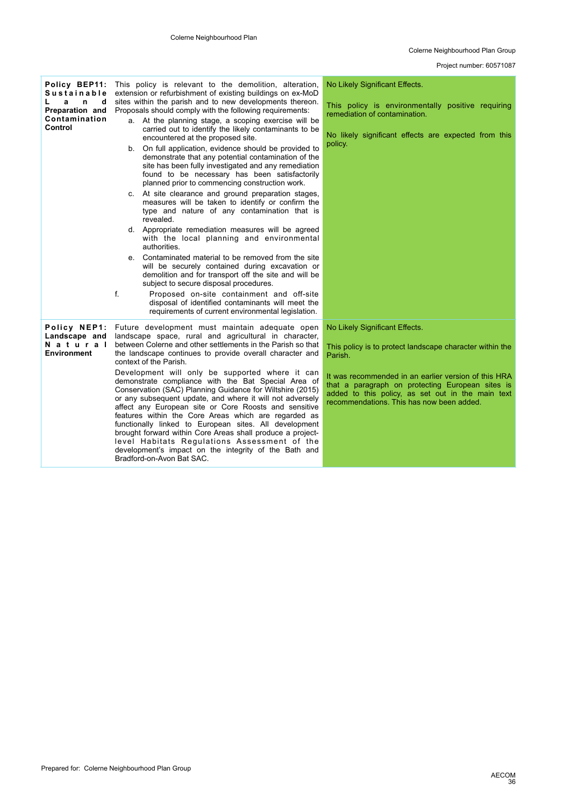| <b>Sustainable</b><br>n<br>d<br>a<br>Preparation and<br>Contamination<br>Control | <b>Policy BEP11:</b> This policy is relevant to the demolition, alteration,<br>extension or refurbishment of existing buildings on ex-MoD<br>sites within the parish and to new developments thereon.<br>Proposals should comply with the following requirements:<br>a. At the planning stage, a scoping exercise will be<br>carried out to identify the likely contaminants to be<br>encountered at the proposed site.<br>On full application, evidence should be provided to<br>b.<br>demonstrate that any potential contamination of the<br>site has been fully investigated and any remediation<br>found to be necessary has been satisfactorily<br>planned prior to commencing construction work.<br>c. At site clearance and ground preparation stages,<br>measures will be taken to identify or confirm the<br>type and nature of any contamination that is<br>revealed.<br>d. Appropriate remediation measures will be agreed<br>with the local planning and environmental<br>authorities.<br>Contaminated material to be removed from the site<br>е.<br>will be securely contained during excavation or<br>demolition and for transport off the site and will be<br>subject to secure disposal procedures.<br>f.<br>Proposed on-site containment and off-site<br>disposal of identified contaminants will meet the<br>requirements of current environmental legislation. | No Likely Significant Effects.<br>This policy is environmentally positive requiring<br>remediation of contamination.<br>No likely significant effects are expected from this<br>policy.                                                                                                                             |
|----------------------------------------------------------------------------------|-----------------------------------------------------------------------------------------------------------------------------------------------------------------------------------------------------------------------------------------------------------------------------------------------------------------------------------------------------------------------------------------------------------------------------------------------------------------------------------------------------------------------------------------------------------------------------------------------------------------------------------------------------------------------------------------------------------------------------------------------------------------------------------------------------------------------------------------------------------------------------------------------------------------------------------------------------------------------------------------------------------------------------------------------------------------------------------------------------------------------------------------------------------------------------------------------------------------------------------------------------------------------------------------------------------------------------------------------------------------------------------|---------------------------------------------------------------------------------------------------------------------------------------------------------------------------------------------------------------------------------------------------------------------------------------------------------------------|
| Policy NEP1:<br>Landscape and<br>Natural<br><b>Environment</b>                   | Future development must maintain adequate open<br>landscape space, rural and agricultural in character,<br>between Colerne and other settlements in the Parish so that<br>the landscape continues to provide overall character and<br>context of the Parish.<br>Development will only be supported where it can<br>demonstrate compliance with the Bat Special Area of<br>Conservation (SAC) Planning Guidance for Wiltshire (2015)<br>or any subsequent update, and where it will not adversely<br>affect any European site or Core Roosts and sensitive<br>features within the Core Areas which are regarded as<br>functionally linked to European sites. All development<br>brought forward within Core Areas shall produce a project-<br>level Habitats Regulations Assessment of the<br>development's impact on the integrity of the Bath and<br>Bradford-on-Avon Bat SAC.                                                                                                                                                                                                                                                                                                                                                                                                                                                                                                   | No Likely Significant Effects.<br>This policy is to protect landscape character within the<br>Parish.<br>It was recommended in an earlier version of this HRA<br>that a paragraph on protecting European sites is<br>added to this policy, as set out in the main text<br>recommendations. This has now been added. |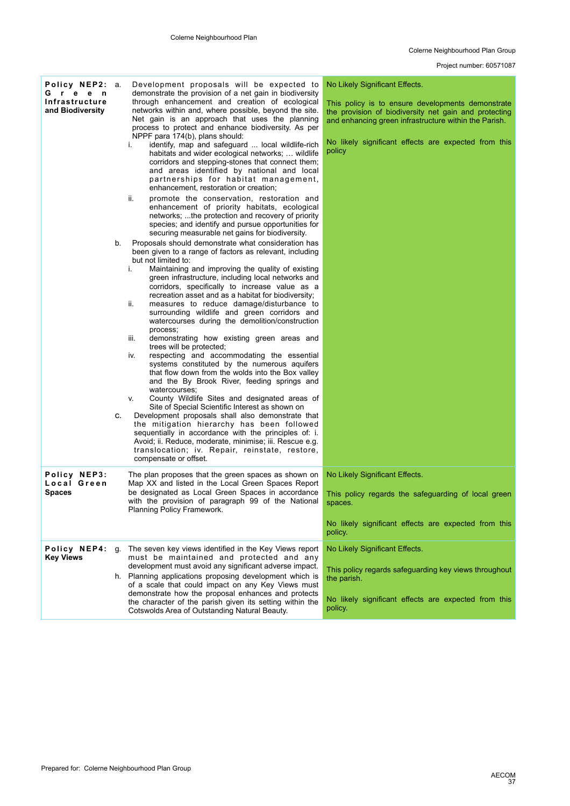| Policy NEP2: a.<br>G<br>е<br>n<br>e<br>Infrastructure<br>and Biodiversity |          | Development proposals will be expected to<br>demonstrate the provision of a net gain in biodiversity<br>through enhancement and creation of ecological<br>networks within and, where possible, beyond the site.<br>Net gain is an approach that uses the planning<br>process to protect and enhance biodiversity. As per<br>NPPF para 174(b), plans should:<br>identify, map and safeguard  local wildlife-rich<br>İ.<br>habitats and wider ecological networks;  wildlife<br>corridors and stepping-stones that connect them;<br>and areas identified by national and local<br>partnerships for habitat management,<br>enhancement, restoration or creation;<br>ii.<br>promote the conservation, restoration and<br>enhancement of priority habitats, ecological<br>networks; the protection and recovery of priority<br>species; and identify and pursue opportunities for<br>securing measurable net gains for biodiversity.                                                                                                                                                                                                                                                                                                                           | No Likely Significant Effects.<br>This policy is to ensure developments demonstrate<br>the provision of biodiversity net gain and protecting<br>and enhancing green infrastructure within the Parish.<br>No likely significant effects are expected from this<br>policy |
|---------------------------------------------------------------------------|----------|-----------------------------------------------------------------------------------------------------------------------------------------------------------------------------------------------------------------------------------------------------------------------------------------------------------------------------------------------------------------------------------------------------------------------------------------------------------------------------------------------------------------------------------------------------------------------------------------------------------------------------------------------------------------------------------------------------------------------------------------------------------------------------------------------------------------------------------------------------------------------------------------------------------------------------------------------------------------------------------------------------------------------------------------------------------------------------------------------------------------------------------------------------------------------------------------------------------------------------------------------------------|-------------------------------------------------------------------------------------------------------------------------------------------------------------------------------------------------------------------------------------------------------------------------|
|                                                                           | b.<br>c. | Proposals should demonstrate what consideration has<br>been given to a range of factors as relevant, including<br>but not limited to:<br>Maintaining and improving the quality of existing<br>i.<br>green infrastructure, including local networks and<br>corridors, specifically to increase value as a<br>recreation asset and as a habitat for biodiversity;<br>ii.<br>measures to reduce damage/disturbance to<br>surrounding wildlife and green corridors and<br>watercourses during the demolition/construction<br>process;<br>iii.<br>demonstrating how existing green areas and<br>trees will be protected;<br>respecting and accommodating the essential<br>iv.<br>systems constituted by the numerous aquifers<br>that flow down from the wolds into the Box valley<br>and the By Brook River, feeding springs and<br>watercourses;<br>County Wildlife Sites and designated areas of<br>V.<br>Site of Special Scientific Interest as shown on<br>Development proposals shall also demonstrate that<br>the mitigation hierarchy has been followed<br>sequentially in accordance with the principles of: i.<br>Avoid; ii. Reduce, moderate, minimise; iii. Rescue e.g.<br>translocation; iv. Repair, reinstate, restore,<br>compensate or offset. |                                                                                                                                                                                                                                                                         |
| Policy NEP3:<br>Local Green<br><b>Spaces</b>                              |          | The plan proposes that the green spaces as shown on<br>Map XX and listed in the Local Green Spaces Report<br>be designated as Local Green Spaces in accordance<br>with the provision of paragraph 99 of the National<br>Planning Policy Framework.                                                                                                                                                                                                                                                                                                                                                                                                                                                                                                                                                                                                                                                                                                                                                                                                                                                                                                                                                                                                        | No Likely Significant Effects.<br>This policy regards the safeguarding of local green<br>spaces.<br>No likely significant effects are expected from this<br>policy.                                                                                                     |
| Policy NEP4:<br><b>Key Views</b>                                          | q.       | The seven key views identified in the Key Views report<br>must be maintained and protected and any<br>development must avoid any significant adverse impact.<br>h. Planning applications proposing development which is<br>of a scale that could impact on any Key Views must<br>demonstrate how the proposal enhances and protects<br>the character of the parish given its setting within the<br>Cotswolds Area of Outstanding Natural Beauty.                                                                                                                                                                                                                                                                                                                                                                                                                                                                                                                                                                                                                                                                                                                                                                                                          | No Likely Significant Effects.<br>This policy regards safeguarding key views throughout<br>the parish.<br>No likely significant effects are expected from this<br>policy.                                                                                               |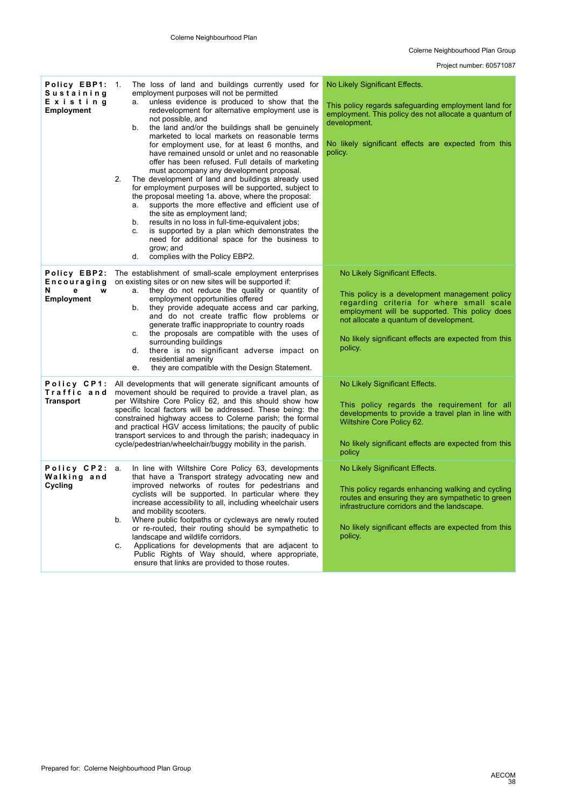| Policy EBP1: 1.<br>Sustaining<br>Existing<br><b>Employment</b>  | a.<br>b.<br>2.<br>a.<br>b.<br>C.<br>d.                                                                                                                                                                                                                                                                                                                                                                                                                                                                | The loss of land and buildings currently used for<br>employment purposes will not be permitted<br>unless evidence is produced to show that the<br>redevelopment for alternative employment use is<br>not possible, and<br>the land and/or the buildings shall be genuinely<br>marketed to local markets on reasonable terms<br>for employment use, for at least 6 months, and<br>have remained unsold or unlet and no reasonable<br>offer has been refused. Full details of marketing<br>must accompany any development proposal.<br>The development of land and buildings already used<br>for employment purposes will be supported, subject to<br>the proposal meeting 1a. above, where the proposal:<br>supports the more effective and efficient use of<br>the site as employment land;<br>results in no loss in full-time-equivalent jobs;<br>is supported by a plan which demonstrates the<br>need for additional space for the business to<br>grow; and<br>complies with the Policy EBP2. | No Likely Significant Effects.<br>This policy regards safeguarding employment land for<br>employment. This policy des not allocate a quantum of<br>development.<br>No likely significant effects are expected from this<br>policy.                                                          |
|-----------------------------------------------------------------|-------------------------------------------------------------------------------------------------------------------------------------------------------------------------------------------------------------------------------------------------------------------------------------------------------------------------------------------------------------------------------------------------------------------------------------------------------------------------------------------------------|--------------------------------------------------------------------------------------------------------------------------------------------------------------------------------------------------------------------------------------------------------------------------------------------------------------------------------------------------------------------------------------------------------------------------------------------------------------------------------------------------------------------------------------------------------------------------------------------------------------------------------------------------------------------------------------------------------------------------------------------------------------------------------------------------------------------------------------------------------------------------------------------------------------------------------------------------------------------------------------------------|---------------------------------------------------------------------------------------------------------------------------------------------------------------------------------------------------------------------------------------------------------------------------------------------|
| Policy EBP2:<br>Encouraging<br>N<br>е<br>w<br><b>Employment</b> | a.<br>b.<br>c.<br>d.<br>е.                                                                                                                                                                                                                                                                                                                                                                                                                                                                            | The establishment of small-scale employment enterprises<br>on existing sites or on new sites will be supported if:<br>they do not reduce the quality or quantity of<br>employment opportunities offered<br>they provide adequate access and car parking,<br>and do not create traffic flow problems or<br>generate traffic inappropriate to country roads<br>the proposals are compatible with the uses of<br>surrounding buildings<br>there is no significant adverse impact on<br>residential amenity<br>they are compatible with the Design Statement.                                                                                                                                                                                                                                                                                                                                                                                                                                        | No Likely Significant Effects.<br>This policy is a development management policy<br>regarding criteria for where small scale<br>employment will be supported. This policy does<br>not allocate a quantum of development.<br>No likely significant effects are expected from this<br>policy. |
| Policy CP1:<br>Traffic and<br><b>Transport</b>                  | All developments that will generate significant amounts of<br>movement should be required to provide a travel plan, as<br>per Wiltshire Core Policy 62, and this should show how<br>specific local factors will be addressed. These being: the<br>constrained highway access to Colerne parish; the formal<br>and practical HGV access limitations; the paucity of public<br>transport services to and through the parish; inadequacy in<br>cycle/pedestrian/wheelchair/buggy mobility in the parish. |                                                                                                                                                                                                                                                                                                                                                                                                                                                                                                                                                                                                                                                                                                                                                                                                                                                                                                                                                                                                  | No Likely Significant Effects.<br>This policy regards the requirement for all<br>developments to provide a travel plan in line with<br>Wiltshire Core Policy 62.<br>No likely significant effects are expected from this<br>policy                                                          |
| Policy CP2: a.<br>Walking and<br>Cycling                        | b.<br>c.                                                                                                                                                                                                                                                                                                                                                                                                                                                                                              | In line with Wiltshire Core Policy 63, developments<br>that have a Transport strategy advocating new and<br>improved networks of routes for pedestrians and<br>cyclists will be supported. In particular where they<br>increase accessibility to all, including wheelchair users<br>and mobility scooters.<br>Where public footpaths or cycleways are newly routed<br>or re-routed, their routing should be sympathetic to<br>landscape and wildlife corridors.<br>Applications for developments that are adjacent to<br>Public Rights of Way should, where appropriate,<br>ensure that links are provided to those routes.                                                                                                                                                                                                                                                                                                                                                                      | No Likely Significant Effects.<br>This policy regards enhancing walking and cycling<br>routes and ensuring they are sympathetic to green<br>infrastructure corridors and the landscape.<br>No likely significant effects are expected from this<br>policy.                                  |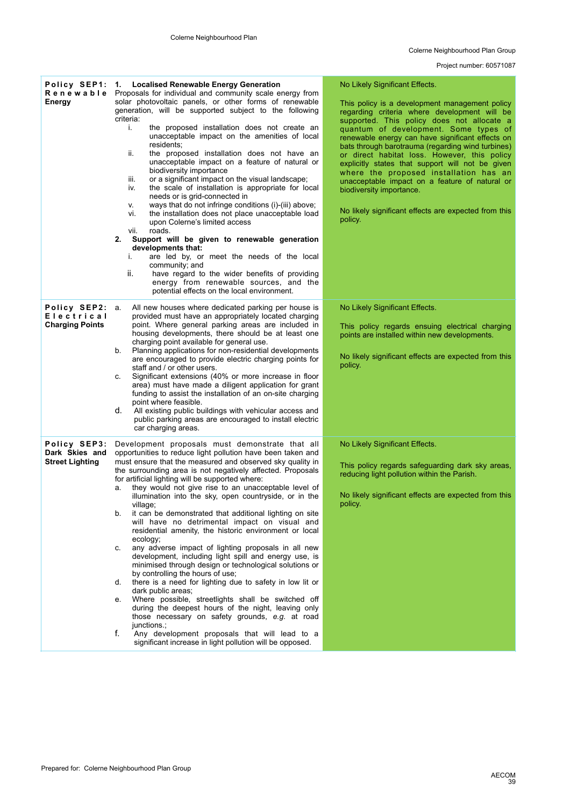| Renewable<br>Energy                                      | Policy SEP1: 1. Localised Renewable Energy Generation<br>Proposals for individual and community scale energy from<br>solar photovoltaic panels, or other forms of renewable<br>generation, will be supported subject to the following<br>criteria:<br>the proposed installation does not create an<br>i.<br>unacceptable impact on the amenities of local<br>residents;<br>the proposed installation does not have an<br>ii.<br>unacceptable impact on a feature of natural or<br>biodiversity importance<br>or a significant impact on the visual landscape;<br>III.<br>the scale of installation is appropriate for local<br>iv.<br>needs or is grid-connected in<br>ways that do not infringe conditions (i)-(iii) above;<br>V.<br>vi.<br>the installation does not place unacceptable load<br>upon Colerne's limited access<br>roads.<br>vii.<br>2.<br>Support will be given to renewable generation<br>developments that:<br>are led by, or meet the needs of the local<br>İ.<br>community; and<br>ii.<br>have regard to the wider benefits of providing<br>energy from renewable sources, and the<br>potential effects on the local environment.                                                                                        | No Likely Significant Effects.<br>This policy is a development management policy<br>regarding criteria where development will be<br>supported. This policy does not allocate a<br>quantum of development. Some types of<br>renewable energy can have significant effects on<br>bats through barotrauma (regarding wind turbines)<br>or direct habitat loss. However, this policy<br>explicitly states that support will not be given<br>where the proposed installation has an<br>unacceptable impact on a feature of natural or<br>biodiversity importance.<br>No likely significant effects are expected from this<br>policy. |
|----------------------------------------------------------|-----------------------------------------------------------------------------------------------------------------------------------------------------------------------------------------------------------------------------------------------------------------------------------------------------------------------------------------------------------------------------------------------------------------------------------------------------------------------------------------------------------------------------------------------------------------------------------------------------------------------------------------------------------------------------------------------------------------------------------------------------------------------------------------------------------------------------------------------------------------------------------------------------------------------------------------------------------------------------------------------------------------------------------------------------------------------------------------------------------------------------------------------------------------------------------------------------------------------------------------------|---------------------------------------------------------------------------------------------------------------------------------------------------------------------------------------------------------------------------------------------------------------------------------------------------------------------------------------------------------------------------------------------------------------------------------------------------------------------------------------------------------------------------------------------------------------------------------------------------------------------------------|
| Policy SEP2: a.<br>Electrical<br><b>Charging Points</b>  | All new houses where dedicated parking per house is<br>provided must have an appropriately located charging<br>point. Where general parking areas are included in<br>housing developments, there should be at least one<br>charging point available for general use.<br>Planning applications for non-residential developments<br>b.<br>are encouraged to provide electric charging points for<br>staff and / or other users.<br>Significant extensions (40% or more increase in floor<br>C.<br>area) must have made a diligent application for grant<br>funding to assist the installation of an on-site charging<br>point where feasible.<br>d.<br>All existing public buildings with vehicular access and<br>public parking areas are encouraged to install electric<br>car charging areas.                                                                                                                                                                                                                                                                                                                                                                                                                                                | No Likely Significant Effects.<br>This policy regards ensuing electrical charging<br>points are installed within new developments.<br>No likely significant effects are expected from this<br>policy.                                                                                                                                                                                                                                                                                                                                                                                                                           |
| Policy SEP3:<br>Dark Skies and<br><b>Street Lighting</b> | Development proposals must demonstrate that all<br>opportunities to reduce light pollution have been taken and<br>must ensure that the measured and observed sky quality in<br>the surrounding area is not negatively affected. Proposals<br>for artificial lighting will be supported where:<br>they would not give rise to an unacceptable level of<br>а.<br>illumination into the sky, open countryside, or in the<br>village;<br>it can be demonstrated that additional lighting on site<br>b.<br>will have no detrimental impact on visual and<br>residential amenity, the historic environment or local<br>ecology;<br>any adverse impact of lighting proposals in all new<br>C.<br>development, including light spill and energy use, is<br>minimised through design or technological solutions or<br>by controlling the hours of use;<br>there is a need for lighting due to safety in low lit or<br>d.<br>dark public areas;<br>Where possible, streetlights shall be switched off<br>е.<br>during the deepest hours of the night, leaving only<br>those necessary on safety grounds, e.g. at road<br>junctions.;<br>f.<br>Any development proposals that will lead to a<br>significant increase in light pollution will be opposed. | No Likely Significant Effects.<br>This policy regards safeguarding dark sky areas,<br>reducing light pollution within the Parish.<br>No likely significant effects are expected from this<br>policy.                                                                                                                                                                                                                                                                                                                                                                                                                            |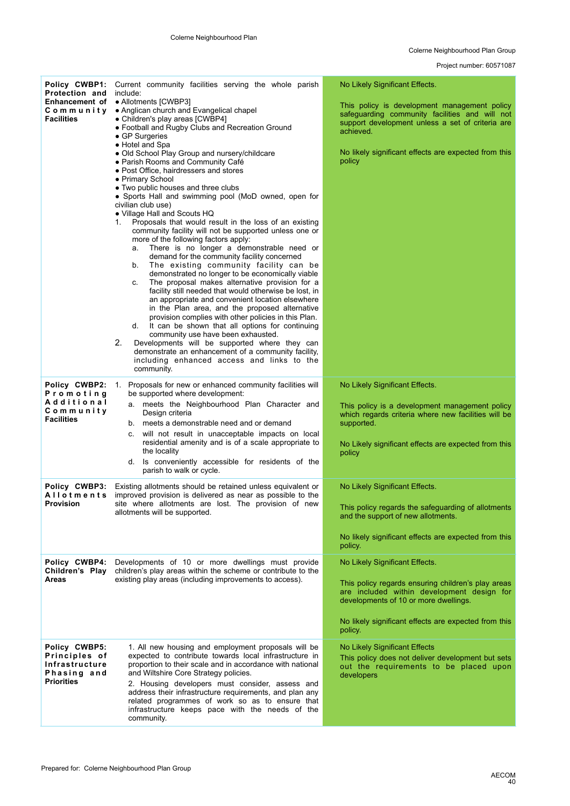| Protection and<br><b>Enhancement of</b><br>Community<br><b>Facilities</b>            | <b>Policy CWBP1:</b> Current community facilities serving the whole parish<br>include:<br>• Allotments [CWBP3]<br>• Anglican church and Evangelical chapel<br>• Children's play areas [CWBP4]<br>• Football and Rugby Clubs and Recreation Ground<br>• GP Surgeries                                                                                                                                                                                                                                                                                                                                                                                                                                                                                                                                                                                                                                                                                                                                                                                                                                                                                                                                                                                 | No Likely Significant Effects.<br>This policy is development management policy<br>safeguarding community facilities and will not<br>support development unless a set of criteria are<br>achieved.                                              |
|--------------------------------------------------------------------------------------|-----------------------------------------------------------------------------------------------------------------------------------------------------------------------------------------------------------------------------------------------------------------------------------------------------------------------------------------------------------------------------------------------------------------------------------------------------------------------------------------------------------------------------------------------------------------------------------------------------------------------------------------------------------------------------------------------------------------------------------------------------------------------------------------------------------------------------------------------------------------------------------------------------------------------------------------------------------------------------------------------------------------------------------------------------------------------------------------------------------------------------------------------------------------------------------------------------------------------------------------------------|------------------------------------------------------------------------------------------------------------------------------------------------------------------------------------------------------------------------------------------------|
|                                                                                      | • Hotel and Spa<br>• Old School Play Group and nursery/childcare<br>• Parish Rooms and Community Café<br>• Post Office, hairdressers and stores<br>• Primary School<br>• Two public houses and three clubs<br>• Sports Hall and swimming pool (MoD owned, open for<br>civilian club use)<br>• Village Hall and Scouts HQ<br>Proposals that would result in the loss of an existing<br>community facility will not be supported unless one or<br>more of the following factors apply:<br>There is no longer a demonstrable need or<br>а.<br>demand for the community facility concerned<br>The existing community facility can be<br>b.<br>demonstrated no longer to be economically viable<br>The proposal makes alternative provision for a<br>C.<br>facility still needed that would otherwise be lost, in<br>an appropriate and convenient location elsewhere<br>in the Plan area, and the proposed alternative<br>provision complies with other policies in this Plan.<br>It can be shown that all options for continuing<br>d.<br>community use have been exhausted.<br>2.<br>Developments will be supported where they can<br>demonstrate an enhancement of a community facility,<br>including enhanced access and links to the<br>community. | No likely significant effects are expected from this<br>policy                                                                                                                                                                                 |
| Policy CWBP2:<br>Promoting<br>Additional<br>Community<br><b>Facilities</b>           | 1. Proposals for new or enhanced community facilities will<br>be supported where development:<br>a. meets the Neighbourhood Plan Character and<br>Design criteria<br>meets a demonstrable need and or demand<br>b.<br>will not result in unacceptable impacts on local<br>C.<br>residential amenity and is of a scale appropriate to<br>the locality<br>Is conveniently accessible for residents of the<br>d.<br>parish to walk or cycle.                                                                                                                                                                                                                                                                                                                                                                                                                                                                                                                                                                                                                                                                                                                                                                                                           | No Likely Significant Effects.<br>This policy is a development management policy<br>which regards criteria where new facilities will be<br>supported.<br>No Likely significant effects are expected from this<br>policy                        |
| Policy CWBP3:<br>Allotments<br>Provision                                             | Existing allotments should be retained unless equivalent or<br>improved provision is delivered as near as possible to the<br>site where allotments are lost. The provision of new<br>allotments will be supported.                                                                                                                                                                                                                                                                                                                                                                                                                                                                                                                                                                                                                                                                                                                                                                                                                                                                                                                                                                                                                                  | No Likely Significant Effects.<br>This policy regards the safeguarding of allotments<br>and the support of new allotments.<br>No likely significant effects are expected from this<br>policy.                                                  |
| Policy CWBP4:<br>Children's Play<br>Areas                                            | Developments of 10 or more dwellings must provide<br>children's play areas within the scheme or contribute to the<br>existing play areas (including improvements to access).                                                                                                                                                                                                                                                                                                                                                                                                                                                                                                                                                                                                                                                                                                                                                                                                                                                                                                                                                                                                                                                                        | No Likely Significant Effects.<br>This policy regards ensuring children's play areas<br>are included within development design for<br>developments of 10 or more dwellings.<br>No likely significant effects are expected from this<br>policy. |
| Policy CWBP5:<br>Principles of<br>Infrastructure<br>Phasing and<br><b>Priorities</b> | 1. All new housing and employment proposals will be<br>expected to contribute towards local infrastructure in<br>proportion to their scale and in accordance with national<br>and Wiltshire Core Strategy policies.<br>2. Housing developers must consider, assess and<br>address their infrastructure requirements, and plan any<br>related programmes of work so as to ensure that<br>infrastructure keeps pace with the needs of the<br>community.                                                                                                                                                                                                                                                                                                                                                                                                                                                                                                                                                                                                                                                                                                                                                                                               | No Likely Significant Effects<br>This policy does not deliver development but sets<br>out the requirements to be placed upon<br>developers                                                                                                     |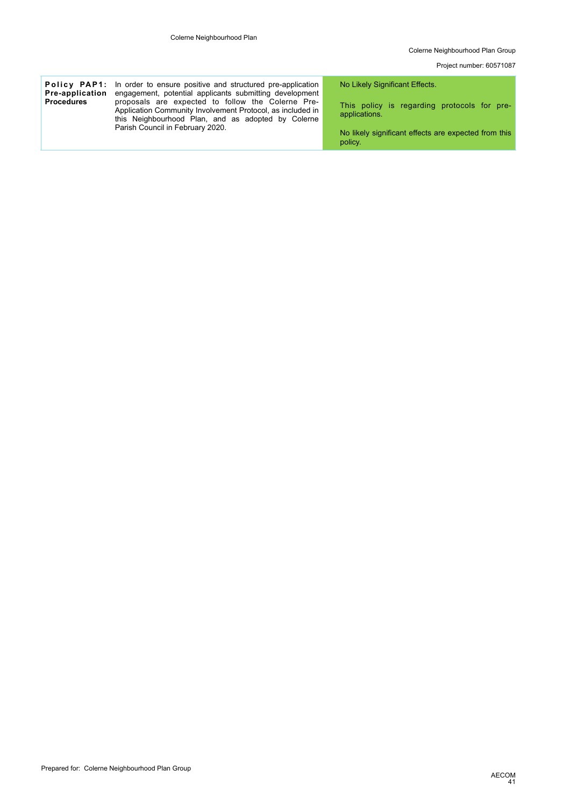| <b>Procedures</b> | <b>Policy PAP1:</b> In order to ensure positive and structured pre-application<br><b>Pre-application</b> engagement, potential applicants submitting development<br>proposals are expected to follow the Colerne Pre-<br>Application Community Involvement Protocol, as included in<br>this Neighbourhood Plan, and as adopted by Colerne<br>Parish Council in February 2020. | No Likely Significant Effects.<br>This policy is regarding protocols for pre-<br>applications.<br>No likely significant effects are expected from this<br>policy. |
|-------------------|-------------------------------------------------------------------------------------------------------------------------------------------------------------------------------------------------------------------------------------------------------------------------------------------------------------------------------------------------------------------------------|-------------------------------------------------------------------------------------------------------------------------------------------------------------------|
|-------------------|-------------------------------------------------------------------------------------------------------------------------------------------------------------------------------------------------------------------------------------------------------------------------------------------------------------------------------------------------------------------------------|-------------------------------------------------------------------------------------------------------------------------------------------------------------------|